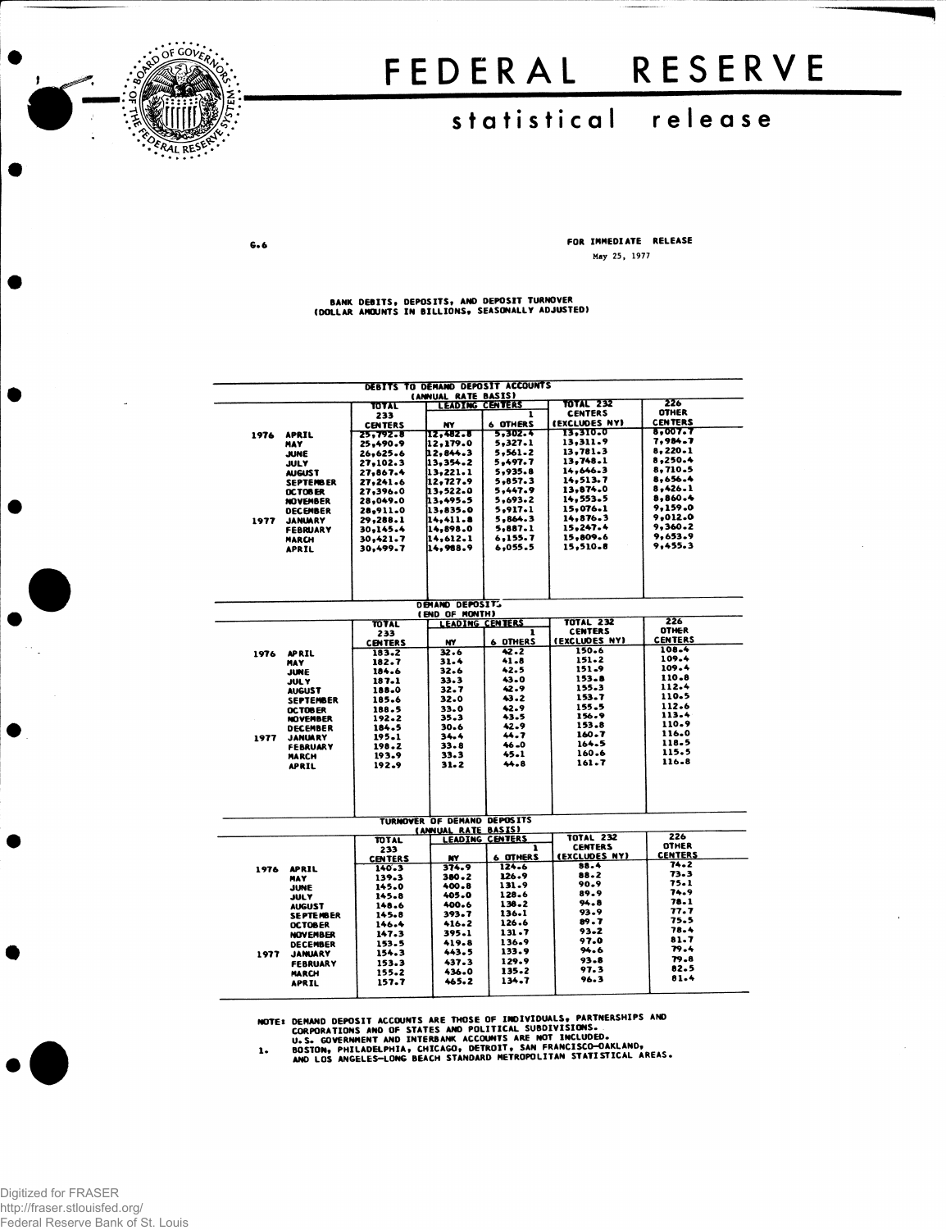

# FEDERAL RESERVE

## statistical release

 $G.6$ 

FOR IMMEDIATE RELEASE May 25, 1977

### BANK DEBITS, DEPOSITS, AND DEPOSIT TURNOVER<br>(DOLLAR ANOUNTS IN BILLIONS, SEASONALLY ADJUSTED)

|      | DEBITS TO DEMAND DEPOSIT ACCOUNTS |                       |                                               |                        |                  |                                |  |  |  |  |  |
|------|-----------------------------------|-----------------------|-----------------------------------------------|------------------------|------------------|--------------------------------|--|--|--|--|--|
|      |                                   |                       | (ANNUAL RATE BASIS)<br><b>LEADING CENTERS</b> |                        | <b>TOTAL 232</b> | 226                            |  |  |  |  |  |
|      |                                   | TOTAL                 |                                               | ī                      | <b>CENTERS</b>   | <b>OTHER</b>                   |  |  |  |  |  |
|      |                                   | 233<br><b>CENTERS</b> | NY                                            | <b>6 OTHERS</b>        | (EXCLUDES NY)    | <b>CENTERS</b>                 |  |  |  |  |  |
| 1976 | <b>APRIL</b>                      | 25,792.8              | 12,482.8                                      | 5.302.4                | 13.310.0         | 8,007.7                        |  |  |  |  |  |
|      | MAY                               | 25,490.9              | 12.179.0                                      | 5,327.1                | 13,311.9         | 7,984.7                        |  |  |  |  |  |
|      | <b>JUNE</b>                       | 26,625.6              | 12,844.3                                      | 5,561.2                | 13,781.3         | 8,220.1                        |  |  |  |  |  |
|      | <b>JULY</b>                       | 27,102.3              | 13.354.2                                      | 5.497.7                | 13,748.1         | 8,250.4                        |  |  |  |  |  |
|      | <b>AUGUST</b>                     | 27.867.4              | 13.221.1                                      | 5,935.8                | 14,646.3         | 8,710.5                        |  |  |  |  |  |
|      | <b>SEPTENBER</b>                  | 27,241.6              | 12,727.9                                      | 5,857.3                | 14,513.7         | 8.656.4                        |  |  |  |  |  |
|      | OCTOBER                           | 27,396.0              | 13.522.0                                      | 5,447.9                | 13,874.0         | 8,426.1                        |  |  |  |  |  |
|      | <b>NOVEMBER</b>                   | 28,049.0              | 13,495.5                                      | 5,693.2                | 14.553.5         | 8,860.4                        |  |  |  |  |  |
|      | <b>DECEMBER</b>                   | 28,911.0              | 13.835.0                                      | 5.917.1                | 15,076.1         | 9.159.0                        |  |  |  |  |  |
| 1977 | <b>JANUARY</b>                    | 29,288.1              | 14.411.8                                      | 5,864.3                | 14,876.3         | 9.012.0                        |  |  |  |  |  |
|      | <b>FEBRUARY</b>                   | 30,145.4              | 14,898.0                                      | 5.887.1                | 15.247.4         | 9,360.2                        |  |  |  |  |  |
|      | <b>MARCH</b>                      | 30,421.7              | 14,612.1                                      | 6,155.7                | 15,809.6         | 9,653.9<br>9,455.3             |  |  |  |  |  |
|      | <b>APRIL</b>                      | 30.499.7              | 14,988.9                                      | 6,055.5                | 15,510.8         |                                |  |  |  |  |  |
|      |                                   |                       |                                               |                        |                  |                                |  |  |  |  |  |
|      |                                   |                       | DEMAND DEPOSITS<br>(END OF MONTH)             |                        |                  |                                |  |  |  |  |  |
|      |                                   | TOTAL                 | <b>LEADING CENTERS</b>                        |                        | <b>TOTAL 232</b> | 226                            |  |  |  |  |  |
|      |                                   | 233                   |                                               | 1                      | <b>CENTERS</b>   | <b>OTHER</b>                   |  |  |  |  |  |
|      |                                   | <b>CENTERS</b>        | NY.                                           | <b>6 DTHERS</b>        | (EXCLUDES NY)    | <b>CENTERS</b>                 |  |  |  |  |  |
| 1976 | <b>APRIL</b>                      | 183.2                 | 32.6                                          | 42.2                   | 150.6            | 108.4                          |  |  |  |  |  |
|      | <b>HAY</b>                        | 182.7                 | 31.4                                          | 41.8                   | 151.2            | 109.4                          |  |  |  |  |  |
|      | JUNE                              | 184.6                 | 32.6                                          | 42.5                   | 151.9            | 109.4                          |  |  |  |  |  |
|      | JUL Y                             | 187.1                 | 33.3                                          | 43.0                   | 153.8            | 110.8                          |  |  |  |  |  |
|      | <b>AUGUST</b>                     | 188.0                 | 32.7                                          | 42.9                   | 155.3            | 112.4                          |  |  |  |  |  |
|      | <b>SEPTEMBER</b>                  | 185.6                 | 32.0                                          | 43.2                   | 153.7            | 110.5<br>112.6                 |  |  |  |  |  |
|      | OCTOBER                           | 188.5                 | 33.0                                          | 42.9                   | 155.5<br>156.9   | 113.4                          |  |  |  |  |  |
|      | <b>NOVEMBER</b>                   | 192.2                 | 35.3                                          | 43.5<br>42.9           | 153.8            | 110.9                          |  |  |  |  |  |
|      | DECEMBER                          | 184.5                 | 30.6                                          | 44.7                   | $160 - 7$        | 116.0                          |  |  |  |  |  |
| 1977 | <b>JANUARY</b>                    | 195.1<br>198.2        | 34.4<br>33.8                                  | $46 - 0$               | 164.5            | 118.5                          |  |  |  |  |  |
|      | <b>FEBRUARY</b><br><b>MARCH</b>   | 193.9                 | 33.3                                          | 45.1                   | 160.6            | 115.5                          |  |  |  |  |  |
|      | <b>APRIL</b>                      | 192.9                 | $31 - 2$                                      | 44.8                   | $161 - 7$        | 116-8                          |  |  |  |  |  |
|      |                                   |                       |                                               |                        |                  |                                |  |  |  |  |  |
|      |                                   |                       |                                               |                        |                  |                                |  |  |  |  |  |
|      |                                   |                       | TURNOVER OF DEMAND DEPOSITS                   |                        |                  |                                |  |  |  |  |  |
|      |                                   |                       | (ANNUAL RATE BASIS)                           |                        |                  |                                |  |  |  |  |  |
|      |                                   | TOTAL                 |                                               | <b>LEADING CENTERS</b> | <b>TOTAL 232</b> | 226                            |  |  |  |  |  |
|      |                                   | 233                   |                                               | ı                      | <b>CENTERS</b>   | <b>OTHER</b><br><b>CENTERS</b> |  |  |  |  |  |
|      |                                   | <b>CENTERS</b>        | <b>NY</b>                                     | <b>6 OTHERS</b>        | (EXCLUDES NY)    | 74.2                           |  |  |  |  |  |
| 1976 | <b>APRIL</b>                      | 140.3                 | 374.9                                         | 124.6                  | 88.4<br>88.2     | 73.3                           |  |  |  |  |  |
|      | MAY                               | 139.3                 | 380.2                                         | 126.9<br>131.9         | 90.9             | 75.1                           |  |  |  |  |  |
|      | <b>JUNE</b>                       | 145.0<br>145.8        | 400.8<br>405.0                                | 128.6                  | 89.9             | 74.9                           |  |  |  |  |  |
|      | JULY                              | 148.6                 | 400.6                                         | 138.2                  | 94.8             | 78.1                           |  |  |  |  |  |
|      | <b>AUGUST</b><br>SE PTE MBER      | 145.8                 | 393.7                                         | 136.1                  | 93.9             | 77.7                           |  |  |  |  |  |
|      | OCTOBER                           | 146.4                 | 416.2                                         | 126.6                  | 89.7             | 75.5                           |  |  |  |  |  |
|      | <b>NOVEMBER</b>                   | 147.3                 | 395.1                                         | 131.7                  | 93.2             | 78.4                           |  |  |  |  |  |
|      | <b>DECEMBER</b>                   | 153.5                 | 419.8                                         | 136.9                  | 97.0             | 81.7                           |  |  |  |  |  |
| 1977 | <b>JANUARY</b>                    | 154.3                 | 443.5                                         | 133.9                  | 94.6             | 79.4                           |  |  |  |  |  |
|      | <b>FEBRUARY</b>                   | 153.3                 | 437.3                                         | 129.9                  | 93.8             | 79.8                           |  |  |  |  |  |
|      | <b>HARCH</b>                      | 155.2                 | 436.0                                         | 135.2                  | 97.3             | 82.5                           |  |  |  |  |  |
|      | <b>APRIL</b>                      | 157.7                 | 465.2                                         | 134.7                  | 96.3             | 81.4                           |  |  |  |  |  |
|      |                                   |                       |                                               |                        |                  |                                |  |  |  |  |  |

NOTE: DEMAND DEPOSIT ACCOUNTS ARE THOSE OF INDIVIDUALS, PARTMERSHIPS AND<br>CORPORATIONS AND OF STATES AND POLITICAL SUBDIVISIONS.<br>U.S. GOVERNMENT AND INTERBANK ACCOUNTS ARE NOT INCLUDED.<br>1. BOSTON, PHILADELPHIA, CHICAGO, DET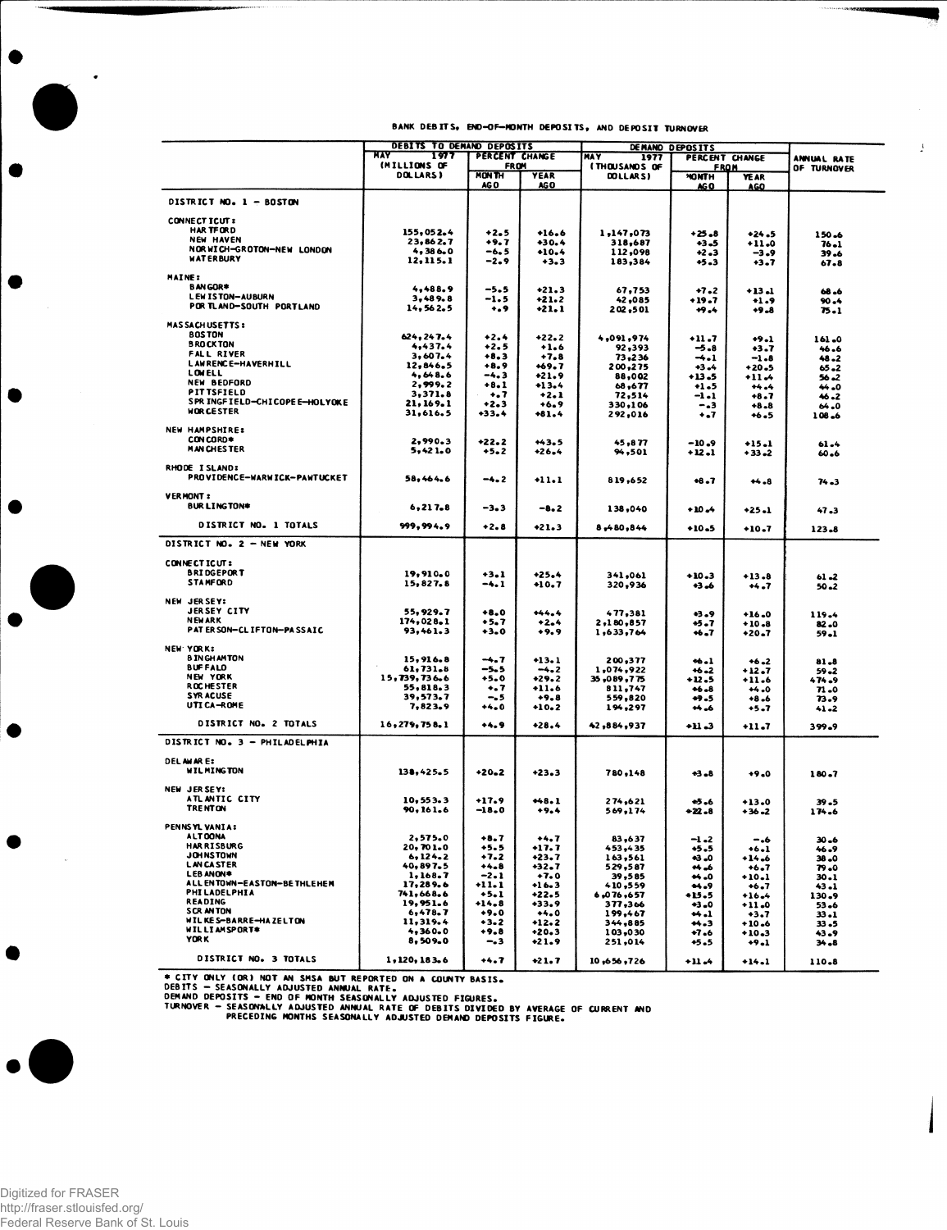$\mathcal{F}$ 

1

|                                                | DEBITS TO DEMAND DEPOSITS |                             |                     | DEMAND DEPOSITS       |                               |                    |                   |
|------------------------------------------------|---------------------------|-----------------------------|---------------------|-----------------------|-------------------------------|--------------------|-------------------|
|                                                | MAY<br>1977               | PERCENT CHANGE              |                     | <b>HAY</b><br>1977    | ANNUAL RATE                   |                    |                   |
|                                                | (MILLIONS OF              | <b>FROM</b><br><b>MONTH</b> |                     | <b>ITHOUSANDS OF</b>  | <b>FROM</b>                   |                    | OF TURNOVER       |
|                                                | DOLLARS)                  | AG O                        | <b>YEAR</b><br>AG O | DOLLARS)              | <b>MONTH</b><br>AG O          | YE AR<br>AGO       |                   |
| DISTRICT NO. 1 - BOSTON                        |                           |                             |                     |                       |                               |                    |                   |
|                                                |                           |                             |                     |                       |                               |                    |                   |
| <b>CONNECT ICUT :</b><br><b>HAR TFORD</b>      | 155,052.4                 | $+2.5$                      | $+16.6$             |                       |                               |                    |                   |
| <b>NEW HAVEN</b>                               | 23,862.7                  | +9.7                        | $+30.4$             | 1,147,073<br>318,687  | +25.8<br>+3.5                 | $+24.5$<br>$+11.0$ | 150.6<br>$76 - 1$ |
| NORWICH-GROTON-NEW LONDON                      | 4,386.0                   | -6.5                        | $+10.4$             | 112,098               | $+2.3$                        | $-3.9$             | 39.6              |
| <b>WATERBURY</b>                               | 12,115.1                  | $-2.9$                      | $+3.3$              | 183,384               | +5.3                          | +3.7               | 67.8              |
| MAINE:                                         |                           |                             |                     |                       |                               |                    |                   |
| <b>BANGOR*</b>                                 | 4,488.9                   | $-5.5$                      | $+21.3$             | 67,753                | $+7.2$                        | $+13 - 1$          | 68.6              |
| LEW IS TON-AUBURN                              | 3,489.8                   | $-1.5$                      | $+21.2$             | 42,085                | $+19.7$                       | $+1.9$             | $90 - 4$          |
| POR TLAND-SOUTH PORTLAND                       | 14,562.5                  | ٠.,                         | +21.1               | 202,501               | $+9.4$                        | $+9.8$             | 75.1              |
| <b>MAS SACH USETTS:</b>                        |                           |                             |                     |                       |                               |                    |                   |
| <b>BOSTON</b>                                  | 624, 247.4                | $+2.4$                      | $+22.2$             | 4,091,974             | $+11.7$                       | $+9.1$             | 161.0             |
| <b>BROCKTON</b>                                | 4,437.4                   | $+2.5$                      | $+1.6$              | 92,393                | -5.8                          | +3.7               | 46.6              |
| <b>FALL RIVER</b><br><b>LAWRENCE-HAVERHILL</b> | 3,607.4                   | $+8.3$                      | $+7.8$              | 73,236                | ⊸.⊥                           | $-1.8$             | 48.2              |
| LOWELL                                         | 12,846.5<br>4,648.6       | $+8.9$<br>$-4.3$            | $+69.7$             | 200,275               | +3.4                          | $+20.5$            | 65.2              |
| <b>NEW BEDFORD</b>                             | 2,999.2                   | $+8.1$                      | $+21.9$<br>+13.4    | 88,002<br>68,677      | +13.5<br>$+1.5$               | +11.4<br>$+4.4$    | 56.2<br>44.0      |
| <b>PITTSFIELD</b>                              | 3,371.8                   | $\ddotsc$                   | $+2.1$              | 72,514                | -1.1                          | $+8.7$             | 46.2              |
| SPR INGFIELD-CHICOPEE-HOLYOKE                  | 21, 169. 1                | +2.3                        | $+6.9$              | 330,106               | - . 3                         | $+8.8$             | 64.0              |
| <b>WOR CESTER</b>                              | 31,616.5                  | +33.4                       | $+81.4$             | 292,016               | ۰.7                           | $+6.5$             | 108.6             |
| <b>NEW HAMPSHIRE:</b>                          |                           |                             |                     |                       |                               |                    |                   |
| CON CORD*                                      | 2.990.3                   | $+22.2$                     | $+43.5$             | 45,877                | $-10.9$                       | $+15.1$            | $61 - 4$          |
| <b>MAN CHESTER</b>                             | 5,421.0                   | $+5.2$                      | $+26.4$             | 94,501                | +12.1                         | $+33 - 2$          | 60.6              |
| RHODE ISLAND:                                  |                           |                             |                     |                       |                               |                    |                   |
| PROVIDENCE-WARWICK-PAWTUCKET                   | 58,464.6                  | -4.2                        | $+11.1$             | 819,652               | $+8.7$                        | $+4.8$             | 74.3              |
|                                                |                           |                             |                     |                       |                               |                    |                   |
| <b>VERMONT:</b>                                |                           |                             |                     |                       |                               |                    |                   |
| <b>BURLINGTON*</b>                             | 6, 217.8                  | $-3 - 3$                    | $-8.2$              | 138,040               | → 10 →                        | +25.1              | 47.3              |
| DISTRICT NO. 1 TOTALS                          | 999, 994, 9               | $+2.8$                      | $+21.3$             | 8,480,844             | $+10.5$                       | $+10.7$            | 123.8             |
| DISTRICT NO. 2 - NEW YORK                      |                           |                             |                     |                       |                               |                    |                   |
|                                                |                           |                             |                     |                       |                               |                    |                   |
| CONNECTICUT:                                   |                           |                             |                     |                       |                               |                    |                   |
| <b>BRIDGEPORT</b><br><b>STAMFORD</b>           | 19,910.0<br>15,827.8      | $+3.1$                      | $+25.4$             | 341,061               | $+10.3$                       | $+13.8$            | 61.2              |
|                                                |                           | -4.1                        | $+10.7$             | 320,936               | +3.6                          | +4.7               | 50.2              |
| NEW JERSEY:                                    |                           |                             |                     |                       |                               |                    |                   |
| <b>JERSEY CITY</b>                             | 55,929.7                  | $+8.0$                      | $+44.4$             | 477,381               | +3.9                          | $+16.0$            | 119.4             |
| <b>NEWARK</b><br>PAT ER SON-CL IFTON-PASSAIC   | 174,028.1<br>93,461.3     | $+5.7$                      | +2.4                | 2,180,857             | +5 . 7                        | $+10.8$            | 82.0              |
|                                                |                           | $+3.0$                      | $+9.9$              | 1,633,764             | ↔7                            | $+20.7$            | $59 - 1$          |
| <b>NEW YORK:</b>                               |                           |                             |                     |                       |                               |                    |                   |
| <b>BINGHAMTON</b>                              | 15,916.8                  | $-4.7$                      | $+13.1$             | 200,377               | $+6.1$                        | $+6 - 2$           | 81.8              |
| <b>BUFFALD</b><br>NEW YORK                     | 61,731.8<br>15,739,736.6  | -5.5                        | $-4.2$              | 1,074,922             | $+6 - 2$                      | $+12.7$            | 59.2              |
| <b>ROCHESTER</b>                               | 55,818.3                  | +5.0<br>-. 7                | $+29.2$<br>$+11.6$  | 35,089,775<br>811,747 | +12.5<br>$+6.8$               | $+11.6$<br>$+4.0$  | 474.9<br>71.0     |
| <b>SYRACUSE</b>                                | 39,573.7                  | -. 5                        | $+9.8$              | 559,820               | $+9.5$                        | $+8.6$             | 73.9              |
| UTI CA-ROME                                    | 7,823.9                   | $+4.0$                      | $+10.2$             | 194,297               | 44.6                          | +5.7               | $41 - 2$          |
| DISTRICT NO. 2 TOTALS                          | 16,279,758.1              | $+4.9$                      | $+28.4$             | 42,884,937            | +11 .3                        | $+11.7$            | 399.9             |
| DISTRICT NO. 3 - PHILADELPHIA                  |                           |                             |                     |                       |                               |                    |                   |
|                                                |                           |                             |                     |                       |                               |                    |                   |
| <b>DELAWARE:</b>                               |                           |                             |                     |                       |                               |                    |                   |
| <b>WILMINGTON</b>                              | 138,425.5                 | $+20-2$                     | +23.3               | 780,148               | $-3 - 8$                      | $+9.0$             | 180.7             |
| NEW JERSEY:                                    |                           |                             |                     |                       |                               |                    |                   |
| ATL ANTIC CITY                                 | 10,553.3                  | $+17.9$                     | $+48.1$             | 274,621               | -5.6                          | $+13.0$            | 39.5              |
| <b>TRENTON</b>                                 | 90, 161, 6                | $-18.0$                     | $+9.4$              | 569,174               | +22.8                         | $+36 - 2$          | 174.6             |
| PENNSYL VANIA:                                 |                           |                             |                     |                       |                               |                    |                   |
| A LT OONA                                      | 2,575.0                   | $+8.7$                      | $+4.7$              | 83,637                | $-1 -2$                       | -.6                | 30.6              |
| <b>HAR RISBURG</b>                             | 20,701.0                  | +5.5                        | +17.7               | 453,435               | +5.5                          | $+6.1$             | 46.9              |
| <b>JOHNSTOWN</b><br><b>LANCA STER</b>          | 6, 124.2                  | $+7.2$                      | +23.7               | 163,561               | +3.0                          | $+14.6$            | 38.0              |
| LEB ANON*                                      | 40,897.5<br>1,168.7       | $+4 - 8$<br>$-2.1$          | +32.7<br>$+7.0$     | 529,587<br>39,585     | ** =6<br>$\leftrightarrow$ .0 | $+6.7$<br>$+10.1$  | 79.0<br>30.1      |
| ALL ENTOWN-EASTON-BETHLEHEM                    | 17,289.6                  | $+11.1$                     | $+16.3$             | 410,559               | 9                             | $+6.7$             | 43.1              |
| <b>PHILADELPHIA</b>                            | 741,668.6                 | $+5.1$                      | $+22.5$             | 6,076,657             | +15.5                         | $+16.4$            | 130.9             |
| <b>READING</b><br><b>SCRANTON</b>              | 19,951.6<br>6,478.7       | $+14.8$                     | +33.9               | 377,366               | $+3.0$                        | $+11.0$            | 53.6              |
| WILKES-BARRE-HAZELTON                          | 11,319.4                  | $+9.0$<br>$+3-2$            | $+4.0$<br>$+12.2$   | 199,467<br>344,885    | $+1$<br>44.3                  | $+3.7$<br>$+10.6$  | 33 . 1<br>33.5    |
| WILLIAMSPORT*                                  | 4,360.0                   | $+9.8$                      | +20.3               | 103,030               | $+7.6$                        | $+10.3$            | 43.9              |
| <b>YORK</b>                                    | 8,509.0                   | -.3                         | $+21.9$             | 251,014               | +5.5                          | $+9.1$             | 34.8              |
| DISTRICT NO. 3 TOTALS                          |                           |                             |                     |                       |                               |                    |                   |
|                                                | 1,120,183.6               | +4.7                        | $+21.7$             | 10,656,726            | +11 -4                        | $+14.1$            | 110.8             |

\* CITY ONLY (OR) NOT AN SMSA BUT REPORTED ON A COUNTY BASIS.<br>DEBITS — SEASONALLY ADJUSTED ANNUAL RATE.<br>DEMAND DEPOSITS — END OF MONTH SEASONALLY ADJUSTED FIGURES.<br>TURNOVER — PRECEDING MONTHS SEASONALLY ADJUSTED DEMAND DEPO



 $\ddot{\phantom{1}}$ 

●

Ð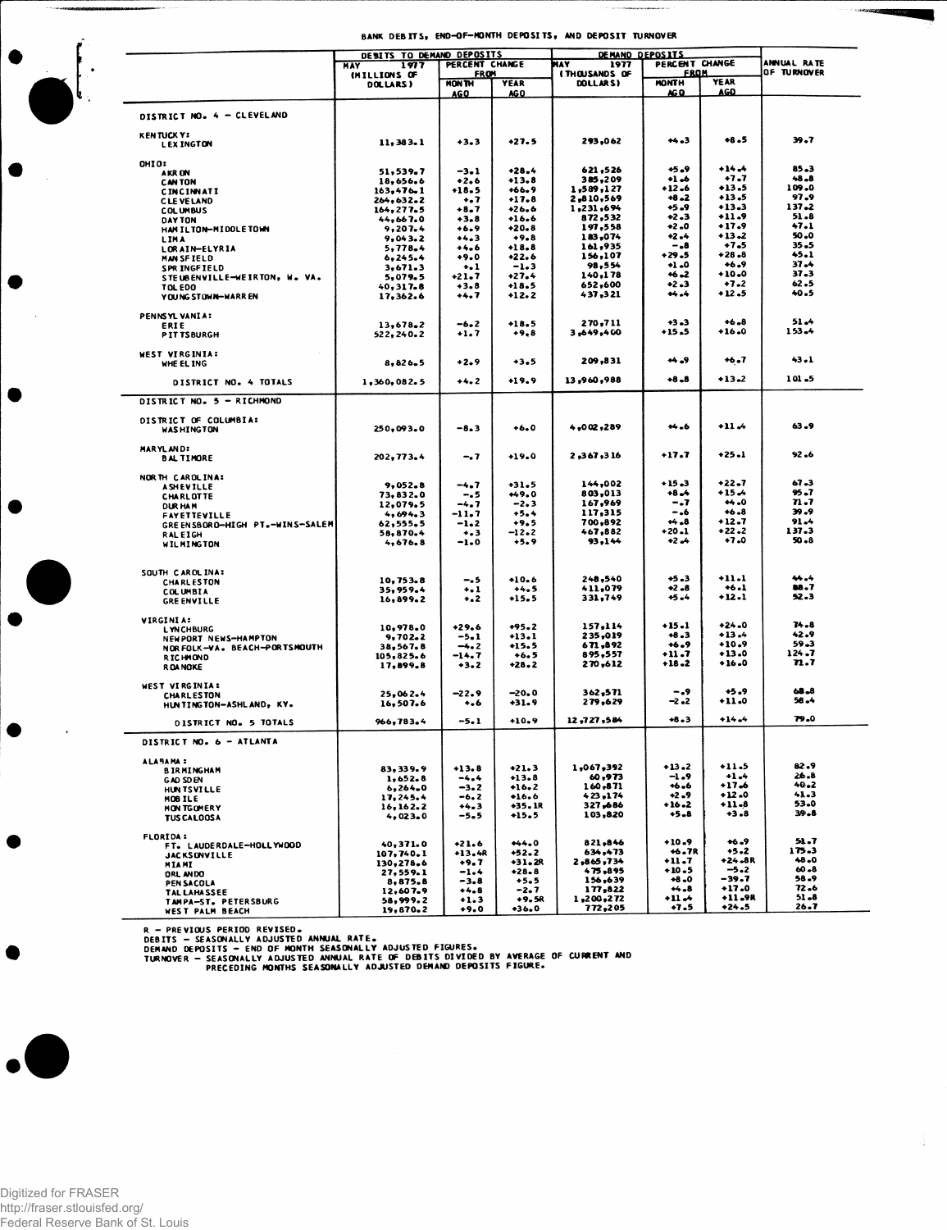|                                | DEBITS TO DEMAND DEPOSITS |                   |                   | <u>DEMAND DEPOSITS</u>        |                      |                    |               |  |
|--------------------------------|---------------------------|-------------------|-------------------|-------------------------------|----------------------|--------------------|---------------|--|
|                                | <b>HAY</b><br>1977        | PERCENT CHANGE    |                   | PERCENT CHANGE<br>MAY<br>1977 |                      |                    | ANNUAL RATE   |  |
|                                | (MILLIONS OF              | <b>FROM</b>       |                   | <b>ITHOUSANDS OF</b>          | <u>FROM</u>          | <b>YEAR</b>        | OF TURNOVER   |  |
|                                | DOLLARS)                  | MON <sub>TH</sub> | <b>YEAR</b>       | DOLLARS)                      | <b>MONTH</b><br>AG D | <b>AGO</b>         |               |  |
|                                |                           | <b>AGO</b>        | AGO               |                               |                      |                    |               |  |
|                                |                           |                   |                   |                               |                      |                    |               |  |
| DISTRICT NO. 4 - CLEVELAND     |                           |                   |                   |                               |                      |                    |               |  |
| <b>KENTUCKYS</b>               |                           |                   |                   |                               |                      |                    |               |  |
| <b>LEX INGTON</b>              | 11, 383.1                 | $+3.3$            | $+27.5$           | 293,062                       | $+4.3$               | $+8.5$             | 39.7          |  |
|                                |                           |                   |                   |                               |                      |                    |               |  |
| OHIO:                          |                           |                   |                   |                               |                      |                    |               |  |
| AKR ON                         | 51,539.7                  | $-3.1$            | $+28.4$           | 621,526                       | +5.9                 | $+14.4$            | 85.3          |  |
| <b>CAN TON</b>                 | 18,656.6                  | $+2.6$            | +13.8             | 385,209                       | $+1.6$               | +1.7               | $48 - 8$      |  |
| <b>CINCINNATI</b>              | 163,476.1                 | $+18.5$           | $+66.9$           | 1,589,127                     | $+12.6$              | $+13.5$            | 109.0         |  |
| <b>CLEVELAND</b>               | 264,632.2                 | $\ddotsc$         | +17.8             | 2,810,569                     | $+8 - 2$             | $+13.5$<br>$+13.3$ | 97.9<br>137.2 |  |
| <b>COLUMBUS</b>                | 164,277.5                 | $+8.7$            | $+26.6$           | 1,231,694                     | $+5 - 9$<br>$+2.3$   | $+11.9$            | 51.8          |  |
| <b>DAY TON</b>                 | 44,667.0                  | $+3.8$            | $+16.6$           | 872,532<br>197,558            | $+2.0$               | $+17.9$            | 47.1          |  |
| HAM ILTON-MIDDLETOWN           | 9,207.4                   | $+6.9$            | $+20.8$<br>$+9.8$ | 183,074                       | $+2 - 4$             | $+13.2$            | 50.0          |  |
| <b>LIMA</b>                    | 9,043.2                   | $+4.3$            | $+18.8$           | 161,935                       | -.8                  | $+7.5$             | $35 - 5$      |  |
| LORAIN-ELYRIA                  | 5,778.4                   | $+4.6$<br>$+9.0$  | +22.6             | 156,107                       | $+29.5$              | $+28.8$            | 45.1          |  |
| MAN SFIELD                     | 6,245.4                   | $+1$              | $-1.3$            | 98,554                        | $+1.0$               | $+6.9$             | $37 - 4$      |  |
| SPR INGFIELD                   | 3.671.3                   | $+21 - 7$         | $+27.4$           | 140,178                       | $+6 - 2$             | $+10.0$            | $37 - 3$      |  |
| STEUBENVILLE-WEIRTON, W. VA.   | 5,079.5                   | $+3.8$            | $+18.5$           | 652,600                       | $+2.3$               | $+7.2$             | 62.5          |  |
| <b>TOL EDO</b>                 | 40,317.8                  | $+4.7$            | $+12.2$           | 437,321                       | $+4.4$               | $+12.5$            | 40.5          |  |
| YOUNG STOWN-WARR EN            | 17,362.6                  |                   |                   |                               |                      |                    |               |  |
|                                |                           |                   |                   |                               |                      |                    |               |  |
| PENNSYL VANIA:                 | 13,678.2                  | $-6.2$            | $+18.5$           | 270,711                       | $+3 - 3$             | $+6.8$             | $51 - 4$      |  |
| ERIE<br><b>PIT TSBURGH</b>     | 522,240.2                 | $+1.7$            | $+9.8$            | 3,649,400                     | $+15.5$              | $+16.0$            | 153.4         |  |
|                                |                           |                   |                   |                               |                      |                    |               |  |
| <b>WEST VIRGINIA:</b>          |                           |                   |                   |                               |                      |                    |               |  |
| WHE EL ING                     | $8.826 - 5$               | $+2.9$            | $+3.5$            | 209,831                       | و, ۲۰                | +6.7               | $43 - 1$      |  |
|                                |                           |                   |                   |                               |                      |                    |               |  |
| DISTRICT NO. 4 TOTALS          | 1,360,082.5               | $+4.2$            | $+19.9$           | 13,960,988                    | $+8 - 8$             | $+13-2$            | 101.5         |  |
|                                |                           |                   |                   |                               |                      |                    |               |  |
| DISTRICT NO. 5 - RICHMOND      |                           |                   |                   |                               |                      |                    |               |  |
|                                |                           |                   |                   |                               |                      |                    |               |  |
| DISTRICT OF COLUMBIA:          |                           |                   |                   |                               |                      |                    |               |  |
| <b>WAS HINGTON</b>             | 250,093.0                 | $-8.3$            | $+6.0$            | 4,002,289                     | ₩.6                  | $+11.4$            | 63.9          |  |
|                                |                           |                   |                   |                               |                      |                    |               |  |
| MARYLAND:                      |                           |                   |                   |                               |                      | $+25.1$            | 92.6          |  |
| <b>BAL TIMORE</b>              | 202, 773.4                | $-0.7$            | $+19.0$           | 2,367,316                     | $+17.7$              |                    |               |  |
|                                |                           |                   |                   |                               |                      |                    |               |  |
| NORTH CAROLINA:                |                           |                   | $+31.5$           | 144,002                       | $+15.3$              | $+22 - 7$          | 67.3          |  |
| <b>ASHEVILLE</b>               | 9,052.8                   | -4.7              | $+49.0$           | 803,013                       | $+8.4$               | $+15.4$            | 95 LT         |  |
| <b>CHARLOTTE</b>               | 73,832.0                  | -.5               | $-2.3$            | 167,969                       | -.7                  | +4.0               | 71.7          |  |
| <b>DURHAM</b>                  | 12,079.5<br>4,694.3       | $-4.7$<br>-11.7   | $+5.4$            | 117,315                       | - . 6                | $+6.8$             | 39.9          |  |
| <b>FAYETTEVILLE</b>            | 62,555.5                  | $-1-2$            | $+9.5$            | 700,892                       | $+4.8$               | $+12.7$            | $91 - 4$      |  |
| GREENSBORO-HIGH PT.-WINS-SALEM | 58,870.4                  | $+ 3$             | -12.2             | 467,882                       | $+20.1$              | $+22.2$            | 137.3         |  |
| <b>RALEIGH</b>                 | 4.676.8                   | $-1.0$            | $+5.9$            | 93,144                        | +2 +4                | $+7.0$             | 50.8          |  |
| <b>WILMINGTON</b>              |                           |                   |                   |                               |                      |                    |               |  |
|                                |                           |                   |                   |                               |                      |                    |               |  |
| SQUTH CAROLINA:                |                           |                   |                   |                               |                      |                    |               |  |
| <b>CHARLESTON</b>              | 10,753.8                  | -. 5              | $+10.6$           | 248,540                       | +5.3                 | $+11.1$            | 44.4          |  |
| COLUMBIA                       | 35,959.4                  | $\ddotsc$         | $+4.5$            | 411,079                       | +2 .8                | $+6.1$             | 88.T          |  |
| <b>GREENVILLE</b>              | 16,899.2                  | $\ddotsc$         | $+15.5$           | 331,749                       | +5.4                 | $+12.1$            | 52.3          |  |
|                                |                           |                   |                   |                               |                      |                    |               |  |
| VIRGINIA:                      |                           |                   |                   |                               |                      |                    |               |  |
| <b>LYNCHBURG</b>               | 10,978.0                  | $+29.6$           | $+95.2$           | 157,114                       | +15.1                | $+24.0$            | 74.8          |  |
| NEWPORT NEWS-HAMPTON           | 9,702.2                   | $-5.1$            | $+13.1$           | 235,019                       | $+8.3$               | $+13.4$            | 42.9          |  |
| NOR FOLK-VA. BEACH-PORTSMOUTH  | 38,567.8                  | $-4.2$            | $+15.5$           | 671,892                       | $+6.9$               | $+10.9$            | 59.3          |  |
| <b>RICHMOND</b>                | 105,825.6                 | -14.7             | $+6.5$            | 895,557                       | $+11.7$<br>$+18.2$   | $+13.0$<br>$+16.0$ | 124.7<br>71.7 |  |
| R OA NOKE                      | 17,899.8                  | $+3.2$            | $+28.2$           | 270,612                       |                      |                    |               |  |
|                                |                           |                   |                   |                               |                      |                    |               |  |
| <b>WEST VIRGINIA:</b>          | 25,062.4                  | $-22.9$           | $-20.0$           | 362,571                       | -.9                  | $+5.9$             | 68.8          |  |
| <b>CHARLESTON</b>              | 16,507.6                  | $+ 66$            | $+31.9$           | 279,629                       | -2.2                 | +11.0              | 58.4          |  |
| HUNTINGTON-ASHLAND, KY.        |                           |                   |                   |                               |                      |                    |               |  |
| DISTRICT NO. 5 TOTALS          | 966,783.4                 | -5.1              | $+10.9$           | 12,727,584                    | $+8.3$               | $+14.4$            | 79.0          |  |
|                                |                           |                   |                   |                               |                      |                    |               |  |
| DISTRICT NO. 6 - ATLANTA       |                           |                   |                   |                               |                      |                    |               |  |
|                                |                           |                   |                   |                               |                      |                    |               |  |
| <b>ALABAMA:</b>                |                           |                   |                   |                               |                      |                    |               |  |
| <b>BIRMINGHAM</b>              | 83, 339.9                 | $+13.8$           | $+21.3$           | 1,067,392                     | $+13.2$              | $+11.5$            | 82.9          |  |
| <b>GAD SDEN</b>                | 1.652.8                   | $-4.4$            | $+13.8$           | 60,973                        | $-1.9$               | $+1.4$             | 26.8<br>40.2  |  |
| <b>HUNTSVILLE</b>              | 6,264.0                   | $-3.2$            | $+16.2$           | 160,871                       | +6.6                 | $+17.6$<br>$+12.0$ | 41.3          |  |
| MOB TLE                        | 17.245.4                  | -6.2              | $+16.6$           | 423,174                       | +2 .9<br>$+16.2$     | $+11.8$            | 53.0          |  |
| MON TGOMERY                    | 16, 162.2                 | $+4.3$            | $+35.1R$          | 327,686<br>103,820            | $+5.8$               | $+3.8$             | $39 - 8$      |  |
| <b>TUS CALOOSA</b>             | 4,023.0                   | -5.5              | $+15.5$           |                               |                      |                    |               |  |
|                                |                           |                   |                   |                               |                      |                    |               |  |
| <b>FLORIDA:</b>                |                           | $+21.6$           | $+44.0$           | 821,846                       | $+10.9$              | $+6 - 9$           | 51.7          |  |
| FT. LAUDERDALE-HOLLYWOOD       | 40,371.0<br>107,740.1     | $+13,4R$          | $+52.2$           | 634,473                       | +6.7R                | $+5 - 2$           | 175.3         |  |
| <b>JACKSONVILLE</b>            | 130,278.6                 | +9.7              | +31.2R            | 2,865,734                     | +11.7                | +24.8R             | 48.0          |  |
| MIAMI                          | 27.559.1                  | -1.4              | $+28.8$           | 475,895                       | $+10.5$              | -5.2               | $60 - 8$      |  |
| ORL ANDO<br>PEN SACOLA         | 8.875.8                   | -3.8              | $+5.5$            | 156,639                       | $+8.0$               | -39.7              | 58.9          |  |
| <b>TAL LAHASSEE</b>            | 12,607.9                  | $+4.8$            | -2.7              | 177,822                       | $++$ .8              | $+17.0$            | 72.6          |  |
| TAMPA-ST. PETERSBURG           | 58,999.2                  | $+1.3$            | $+9,5R$           | 1,200,272                     | +11 - →              | +11.9R             | 51.8          |  |
| WEST PALM BEACH                | 19,870.2                  | $+9.0$            | $+36.0$           | 772,205                       | +7.5                 | $+24.5$            | $26 - 7$      |  |
|                                |                           |                   |                   |                               |                      |                    |               |  |

R – PREVIOUS PERIOD REVISED.<br>DEBITS – SEASONALLY ADJUSTED ANNUAL RATE.<br>DEMAND DEPOSITS – END OF MONTH SEASONALLY ADJUSTED FIGURES.<br>TURNOVER – SEASONALLY ADJUSTED ANNUAL RATE OF DEBITS DIVIDED BY AVERAGE OF CURRENT AND<br>TURN



 $\bullet$ 

Ş,

B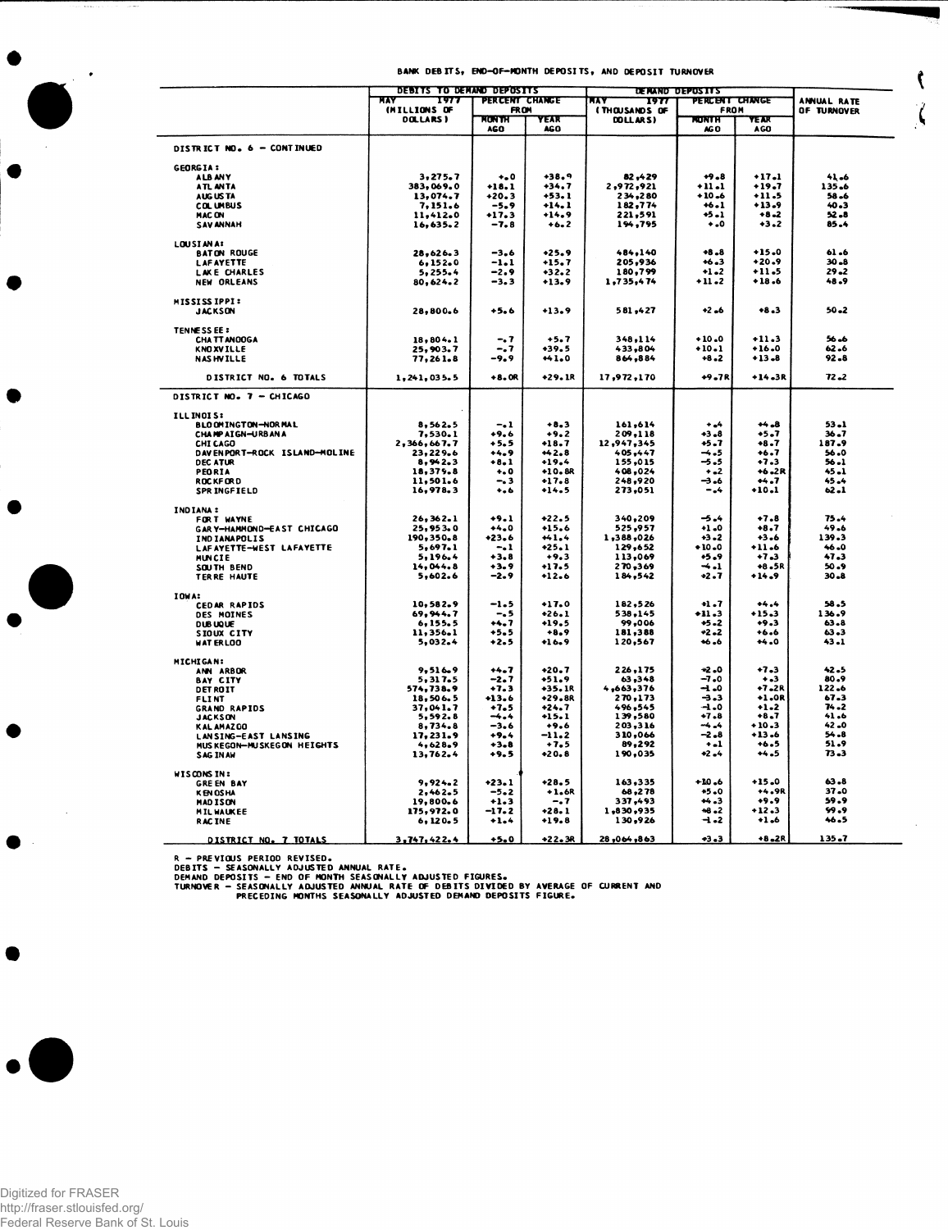۱

Ç

 $\zeta$ 

|                                   | <b>DEBITS TO DEMAND DEPOSITS</b><br><b>DE MAND DEPOSITS</b> |                      |                    |                                  |                       |                   |                      |
|-----------------------------------|-------------------------------------------------------------|----------------------|--------------------|----------------------------------|-----------------------|-------------------|----------------------|
|                                   | πτ<br>1977                                                  | PERCENT CHANGE       |                    | ĸ٨<br>1971                       | <b>PERCENT CHANGE</b> |                   | ANNUAL RATE          |
|                                   | (MILLIONS OF<br>DOLLARS)                                    | <b>FROM</b><br>MONTH | YEAR               | <b>ITHOUSANDS OF</b><br>DOLLARS) | FROM<br><b>RONTH</b>  | 72 J.V            | OF TURNOVER          |
|                                   |                                                             | AGO                  | AGO                |                                  | AG <sub>O</sub>       | <b>AGO</b>        |                      |
| DISTRICT NO. 6 - CONTINUED        |                                                             |                      |                    |                                  |                       |                   |                      |
| <b>GEORGIA:</b>                   |                                                             |                      |                    |                                  |                       |                   |                      |
| ALB ANY                           | 3,275.7                                                     | $\bullet\bullet$ 0   | $+38.9$            | 82,429                           | $+9.8$                | $+17.1$           | 41.6                 |
| ATL ANTA                          | 383,069.0                                                   | $+18.1$              | $+34.7$            | 2,972,921                        | $+11.1$               | $+19.7$           | 135.6                |
| AUG US TA                         | 13,074.7                                                    | $+20.3$              | $+53.1$            | 234,280                          | $+10.6$               | $+11.5$           | 58.6                 |
| <b>COLUMBUS</b>                   | 7,151.6                                                     | $-5.9$               | +14.1              | 182,774                          | $+6.1$<br>$+5.1$      | $+13.9$<br>$+8.2$ | $40 - 3$<br>$52 - 8$ |
| <b>MAC ON</b><br><b>SAV ANNAH</b> | 11,412.0<br>16,635.2                                        | $+17.3$<br>$-7.8$    | $+14.9$<br>$+6.2$  | 221,591<br>194,795               | 0. +                  | $+3.2$            | $85 - 4$             |
| <b>LOUSIANA‡</b>                  |                                                             |                      |                    |                                  |                       |                   |                      |
| <b>BATON ROUGE</b>                | 28,626.3                                                    | $-3.6$               | $+25.9$            | 484,140                          | $+8.8$                | $+15.0$           | 61.6                 |
| <b>LAFAYETTE</b>                  | 6,152.0                                                     | $-1.1$               | $+15.7$            | 205,936                          | $+6.3$                | $+20.9$           | $30 - 8$             |
| LAKE CHARLES                      | 5,255.4                                                     | -2.9                 | $+32.2$            | 180,799                          | $+1.2$                | $+11.5$           | $29 - 2$             |
| NEW ORLEANS                       | 80,624.2                                                    | -3.3                 | $+13.9$            | 1,735,474                        | $+11.2$               | $+18.6$           | 48.9                 |
| <b>MISSISSIPPI:</b>               |                                                             |                      |                    |                                  |                       |                   | $50 - 2$             |
| <b>JACKSON</b>                    | 28,800.6                                                    | +5.6                 | +13.9              | 581,427                          | $+2 - 6$              | $+8.3$            |                      |
| TENNESS EE :<br>CHA TT ANOOGA     | 18,804.1                                                    | -. 7                 | $+5.7$             | 348,114                          | $+10.0$               | $+11.3$           | 56.6                 |
| <b>KNOXVILLE</b>                  | 25,903.7                                                    | -. 7                 | +39.5              | 433,804                          | $+10.1$               | $+16.0$           | 62.6                 |
| <b>NASHVILLE</b>                  | 77,261.8                                                    | -9.9                 | ₩1.0               | 864,884                          | $+8.2$                | $+13.8$           | 92.8                 |
| DISTRICT NO. 6 TOTALS             | 1,241,035.5                                                 | $+8.0R$              | +29.1R             | 17,972,170                       | +9.7R                 | $+14.3R$          | $72 - 2$             |
| DISTRICT NO. 7 - CHICAGO          |                                                             |                      |                    |                                  |                       |                   |                      |
| <b>ILLINOIS:</b>                  |                                                             |                      |                    |                                  |                       |                   |                      |
| <b>BLO OM INGTON-NOR MAL</b>      | 8,562.5                                                     | -. 1                 | $+8.3$             | 161,614                          | $+ -4$                | 44.8              | $53 - 1$             |
| CHAMP AT GN-URBAN A               | 7,530.1                                                     | $+9,6$               | $+9.2$             | 209,118                          | $+3.8$                | +5.7              | $36 - 7$             |
| CHI CAGO                          | 2,366,667.7                                                 | +5.5                 | $+18.7$            | 12,947,345                       | $+5.7$                | $+8.7$            | 187.9                |
| DAVENPORT-ROCK ISLAND-MOLINE      | 23,229.6                                                    | $+4.9$               | $+2.8$             | 405, 447                         | -4.5                  | $+6.7$            | 56.0                 |
| DEC ATUR                          | 8,942.3                                                     | $+8.1$               | $+19.4$            | 155,015                          | $-5.5$                | $+7.3$            | $56 - 1$             |
| PEORIA                            | 18,379.8                                                    | $\bullet$ . O        | $+10.8R$           | 408,024                          | $+ -2$                | $+6.2R$           | $45 - 1$             |
| <b>ROCKFORD</b><br>SPR INGFIELD   | 11,501.6<br>16,978.3                                        | - 3<br>$+ 0.6$       | $+17.8$<br>$+14.5$ | 248,920<br>273,051               | -3.6<br>-.4           | $+4.7$<br>$+10.1$ | $45 - 4$<br>62.1     |
|                                   |                                                             |                      |                    |                                  |                       |                   |                      |
| INDIANA:<br>FOR T WAYNE           | 26, 362.1                                                   | $+9.1$               | $+22.5$            | 340,209                          | -5.4                  | $+7.8$            | $75 - 4$             |
| GARY-HAMMOND-EAST CHICAGO         | 25, 953.0                                                   | $+4.0$               | $+15.6$            | 525,957                          | $+1.0$                | +8.7              | 49.6                 |
| IND IANAPOLIS                     | 190,350.8                                                   | $+23.6$              | $+1.4$             | 1,388,026                        | $+3 - 2$              | $+3.6$            | 139.3                |
| LAFAYETTE-WEST LAFAYETTE          | 5,697.1                                                     | $-1$                 | $+25.1$            | 129,652                          | $+10.0$               | +11.6             | 46.0                 |
| MUNCIE                            | 5,196.4                                                     | $+3.8$               | $+9.3$             | 113,069                          | +5.9                  | $+7.3$            | 47.3                 |
| SOUTH BEND                        | 14,044.8                                                    | $+3.9$               | $+17.5$            | 270,369                          | $\rightarrow$ .1      | +8.5R             | $50 - 9$             |
| TERRE HAUTE                       | 5,602.6                                                     | -2.9                 | $+12.6$            | 184,542                          | $+2.7$                | $+14.9$           | $30 - 8$             |
| IOWA:                             |                                                             |                      |                    |                                  |                       |                   |                      |
| CEDAR RAPIDS                      | 10,582.9                                                    | $-1.5$               | $+17.0$            | 182,526                          | $+1.7$                | $+4.4$            | 58.5                 |
| DES MOINES                        | 69,944.7                                                    | $-5$                 | +26.1              | 538,145                          | $+11.3$               | +15.3             | 136.9                |
| <b>DUBUQUE</b><br>SIOUX CITY      | 6, 155.5<br>11,356.1                                        | +4.7<br>$+5.5$       | +19.5<br>$+8.9$    | 99,006<br>181,388                | $+5 - 2$<br>$+2 - 2$  | $+9.3$<br>$+6.6$  | $63 - 8$<br>63.3     |
| WAT ERLOO                         | 5,032.4                                                     | +2.5                 | $+16.9$            | 120,567                          | $+6.6$                | $+4.0$            | 43.1                 |
| <b>MICHIGAN:</b>                  |                                                             |                      |                    |                                  |                       |                   |                      |
| ANN ARBOR                         | 9,516.9                                                     | $+4.7$               | $+20.7$            | 226,175                          | $+2.0$                | $+7.3$            | 42.5                 |
| <b>BAY CITY</b>                   | 5,317.5                                                     | -2.7                 | $+51.9$            | 63,348                           | $-7.0$                | $+ - 3$           | 80.9                 |
| <b>DET ROIT</b>                   | 574,738.9                                                   | $+7.3$               | +35.1R             | 4,663,376                        | -1.0                  | +7.2R             | 122.6                |
| <b>FLINT</b>                      | 18,506.5                                                    | $+13.6$              | +29.8R             | 270,173                          | -3.3                  | +1.OR             | 67.3                 |
| <b>GRAND RAPIDS</b>               | 37,041.7<br>5,592.8                                         | $+7.5$<br>$-4.4$     | $+24.7$<br>+15.1   | 496,545<br>139,580               | $-1.0$<br>$+7.8$      | $+1-2$<br>$+8.7$  | $74 - 2$<br>41.6     |
| <b>JACKSON</b><br>KAL AMAZOO      | 8,734.8                                                     | $-3.6$               | $+9.6$             | 203,316                          | -4.4                  | $+10.3$           | 42.0                 |
| LANSING-EAST LANSING              | 17,231.9                                                    | $+9.4$               | $-11.2$            | 310,066                          | -2.8                  | +13.6             | $54 - 8$             |
| MUS KEGON-MUSKEGON HEIGHTS        | 4,628.9                                                     | $+3 - 8$             | $+7.5$             | 89,292                           | $+ -1$                | $+6.5$            | 51.9                 |
| <b>SAG IN AW</b>                  | 13,762.4                                                    | $+9.5$               | $+20.8$            | 190,035                          | $+2 - 4$              | $+4.5$            | $73 - 3$             |
| <b>WISCONSIN:</b>                 |                                                             |                      |                    |                                  |                       |                   |                      |
| <b>GREEN BAY</b>                  | 9,924.2                                                     | +23.1                | $+28.5$            | 163,335                          | $+10.6$               | $+15.0$           | 63.8                 |
| <b>KEN OSHA</b>                   | 2,462.5                                                     | $-5 - 2$             | $+1.6R$            | 68,278                           | 45.0                  | +4.9R             | 37.0                 |
| MAD ISON                          | 19,800.6                                                    | $+1.3$               | -. 7               | 337,493                          | ↔.3                   | +9.9              | 59.9                 |
| <b>MIL WAUKEE</b>                 | 175,972.0                                                   | -17.2                | $+28.1$            | 1,830,935                        | $+8.2$                | $+12.3$           | 99.9                 |
| <b>RACINE</b>                     | 6, 120.5                                                    | $+1.4$               | +19.8              | 130,926                          | $-1.2$                | $+1.6$            | 46.5                 |
| DISTRICT NO. 7 TOTALS             | 3,747,422.4                                                 | $+5.0$               | +22.3R             | 28,064,863                       | $-3 - 3$              | +8.2R             | 135.7                |

R – PREVIOUS PERIOD REVISED.<br>DEBITS – SEASONALLY AOJUSTED ANNUAL RATE.<br>DEMAND DEPOSITS – END OF MONTH SEASONALLY ADJUSTED FIGURES.<br>TURNOVER – SEASONALLY ADJUSTED ANNUAL RATE OF DEBITS DIVIDED BY AVERAGE OF CURRENT AND<br>PREC



 $\bar{z}$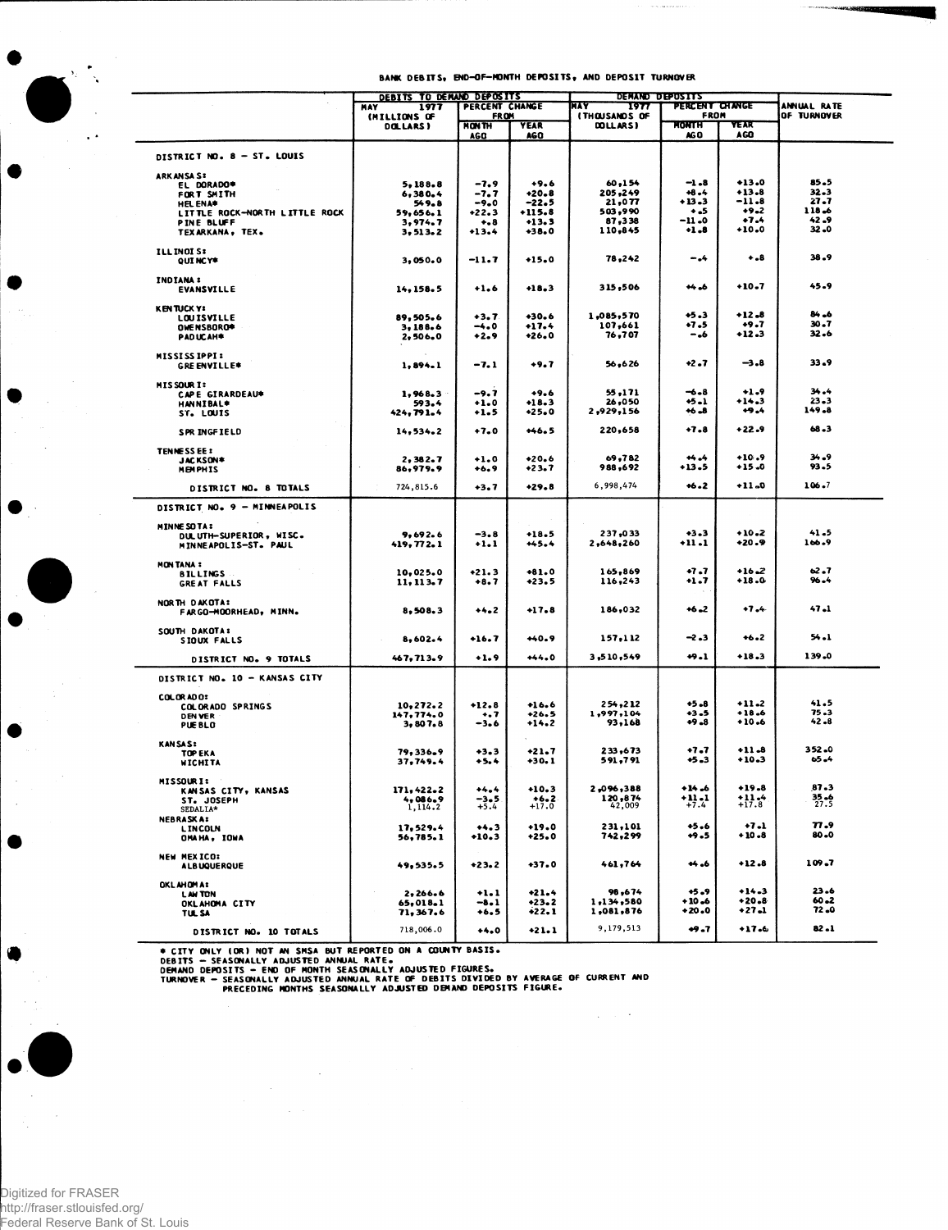$\label{eq:1} \frac{1}{2} \int_{\mathbb{R}^3} \left( \frac{1}{2} \int_{\mathbb{R}^3} \frac{1}{2} \int_{\mathbb{R}^3} \frac{1}{2} \int_{\mathbb{R}^3} \frac{1}{2} \int_{\mathbb{R}^3} \frac{1}{2} \int_{\mathbb{R}^3} \frac{1}{2} \int_{\mathbb{R}^3} \frac{1}{2} \int_{\mathbb{R}^3} \frac{1}{2} \int_{\mathbb{R}^3} \frac{1}{2} \int_{\mathbb{R}^3} \frac{1}{2} \int_{\mathbb{R}^3} \$ 

| <b>PERCENT CHANGE</b><br>FROM<br>OF TURNOVER<br><b>FROM</b><br><b><i>(THOUSANDS OF</i></b><br>(MILLIONS OF<br><b>MONTH</b><br><b>NONTH</b><br>YEAK<br><b>YEAR</b><br>DOLLARS)<br>DOLLARS)<br>AGO<br>AGO<br>AG O<br><b>AGC</b><br><b>DISTRICT NO. 8 – ST. LOUIS</b><br><b>ARKANSAS:</b><br>$+13.0$<br>85.5<br>$+9.6$<br>60,154<br>-1.8<br>$-7.9$<br>5.188.8<br>EL DORADO*<br>+6.4<br>$+13.8$<br>32.3<br>$+20.8$<br>205,249<br>$-7.7$<br>6,380.4<br>FORT SMITH<br>27.7<br>21,077<br>+13.3<br>-11.8<br>$-22.5$<br>$-9.0$<br>549.8<br><b>HEL ENA*</b><br>503,990<br>$+9 - 2$<br>118.6<br>۰.5<br>$+22.3$<br>$+115.8$<br>LITTLE ROCK-NORTH LITTLE ROCK<br>59,656.1<br>$+7.4$<br>$-11 - 0$<br>42.9<br>87,338<br>$+13.3$<br><b>PINE BLUFF</b><br>3,974.7<br>$\bullet$ . 8<br>$+1.8$<br>$+10.0$<br>32.0<br>110,845<br>$+38.0$<br>TEXARKANA, TEX.<br>3, 513.2<br>$+13.4$<br>ILL INOI S:<br>38.9<br>78,242<br>-.4<br>$+ - 8$<br>3.050.0<br>-11.7<br>$+15.0$<br>QUI NCY*<br>INDIANA :<br>$+10.7$<br>45.9<br>$+4.6$<br>315,506<br>$+1.6$<br>$+18.3$<br><b>EVANSVILLE</b><br>14, 158.5<br><b>KENTUCKYI</b><br>$84 - 6$<br>$+12.8$<br>$+5.3$<br>1,085,570<br>$+3.7$<br>$+30.6$<br>89,505.6<br><b>LOUISVILLE</b><br>$30 - 7$<br>$+9.7$<br>107,661<br>+7.5<br>$+17.4$<br>$-4.0$<br>OWE NSBORO*<br>3,188.6<br>32.6<br>$+12.3$<br>76,707<br>$+26.0$<br>- .6<br>$+2.9$<br>PADUCAH*<br>2,506.0<br><b>MISSISSIPPI:</b><br>33.9<br>$+2.7$<br>$-3.8$<br>56,626<br>$-7.1$<br>+9.7<br>1.894.1<br><b>GREENVILLE*</b><br><b>MISSOURI:</b><br>$+1.9$<br>34.4<br>-6.8<br>$+9.6$<br>55.171<br>$-9.7$<br>1,968.3<br>CAPE GIRARDEAU*<br>$23 - 3$<br>$+14.3$<br>26,050<br>+5.1<br>$+1.0$<br>$+18.3$<br>593.4<br><b>HANNIBAL*</b><br>149.8<br>$+9.4$<br>$+25.0$<br>2,929,156<br>$+6 - 8$<br>$+1.5$<br>424, 791.4<br>ST. LOUIS<br>$+7.8$<br>68.3<br>$+22.9$<br>220,658<br>$+7.0$<br>$+46.5$<br>14,534.2<br>SPR INGFIELD<br><b>TENNESSEE:</b><br>$+10.9$<br>$34 - 9$<br>69,782<br>$+ + - +$<br>$+20.6$<br>$+1.0$<br>2, 382.7<br>JACKSON*<br>93.5<br>$+13.5$<br>$+15.0$<br>$+23.7$<br>988,692<br>86,979.9<br><b>MEMPHIS</b><br>+6.9<br>106.7<br>6,998,474<br>$+6.2$<br>$+11 - 0$<br>$+29.8$<br>724,815.6<br>$+3.7$<br>DISTRICT NO. 8 TOTALS<br>DISTRICT NO. 9 - MINNEAPOLIS<br>MINNE SO TA :<br>41.5<br>237,033<br>$+3.3$<br>$+10.2$<br>$-3.8$<br>$+18.5$<br>9,692.6<br>DULUTH-SUPERIOR, WISC.<br>$+11.1$<br>$+20.9$<br>106.9<br>2,648,260<br>419, 772.1<br>$+1.1$<br>$+45.4$<br>MINNEAPOLIS-ST. PAUL<br><b>MON TANA :</b><br>62.7<br>$+7.7$<br>$+16 - 2$<br>10,025.0<br>$+21.3$<br>$+81.0$<br>165,869<br><b>BILLINGS</b><br>$96 - 4$<br>$+18.0$<br>$+23.5$<br>116,243<br>+1.7<br>11, 113.7<br>$+8.7$<br>GREAT FALLS<br>NORTH DAKOTA:<br>47.1<br>$+6 - 2$<br>47.4<br>$+17.8$<br>186,032<br>$+4.2$<br>8,508.3<br>FARGO-MOORHEAD, MINN.<br>SOUTH DAKOTA:<br>54.1<br>157,112<br>-2.3<br>$+6.2$<br>$+40.9$<br>$+16.7$<br>8,602.4<br>SIOUX FALLS<br>$+18.3$<br>139.0<br>+9.1<br>3,510,549<br>$+44.0$<br>467,713.9<br>$+1.9$<br>DISTRICT NO. 9 TOTALS<br>DISTRICT NO. 10 - KANSAS CITY<br>COLORADO:<br>41.5<br>$+5.8$<br>$+11-2$<br>254,212<br>$+16.6$<br>10,272.2<br>$+12.8$<br><b>COLORADO SPRINGS</b><br>$75 - 3$<br>$+18.6$<br>1,997,104<br>+3.5<br>$+26.5$<br>147,774.0<br>$\ddotsc$<br><b>DENVER</b><br>$+9 - 8$<br>$+10.6$<br>42.8<br>93,168<br>3,807.8<br>-3.6<br>+14.2<br><b>PUE BLO</b><br><b>KANSAS:</b><br>$352 - 0$<br>$+11.8$<br>$+7.7$<br>$+21 - 7$<br>233,673<br>79,336.9<br>$+3.3$<br>TOP EKA<br>$65 - 4$<br>$+10.3$<br>+5.3<br>+30.1<br>591,791<br>37,749.4<br>$+5.4$<br><b>WICHITA</b><br><b>MISSOURI:</b><br>87.3<br>$+10.3$<br>2,096,388<br>+14.6<br>$+19.8$<br>$+4.4$<br>171,422.2<br>KANSAS CITY, KANSAS<br>+11.1<br>$11.4 + 17.8$<br>$35 - 6$<br>27.5<br>$+6.2$<br>120,874<br>4,086.9<br>-3.5<br>ST. JOSEPH<br>$+7.4$<br>42,009<br>$+5.4$<br>$+17.0$<br>1,114.2<br>SEDALIA*<br><b>NEBRASKA:</b><br>77.9<br>$+5.6$<br>$+7.1$<br>$+19.0$<br>231,101<br>17,529.4<br>$+4.3$<br><b>LINCOLN</b><br>+10.8<br>80.0<br>742,299<br><b>+9.5</b><br>$+10.3$<br>$+25.0$<br>56,785.1<br>OMAHA, IOWA<br>NEW MEXICO:<br>$+12.8$<br>109.7<br>$+4.6$<br>$+37.0$<br>461,764<br>+23.2<br>49,535.5<br><b>ALBUQUERQUE</b><br><b>OKLAHOMA:</b><br>$+14.3$<br>23.6<br>$+5.9$<br>98,674<br>$+21.4$<br>2,266.6<br>$+1.1$<br><b>LAW TON</b><br>$+20.8$<br>60.2<br>$+10.6$<br>1,134,580<br>$+23.2$<br>65,018.1<br>$-8.1$<br>OKLAHOMA CITY<br>72.0<br>$+20.0$<br>+27.1<br>$+22.1$<br>1,081,876<br>71, 367.6<br>$+6.5$<br><b>TUL SA</b><br>9,179,513<br>$82 - 1$ |                        | DEBITS TO DEMAND DEPOSITS     |        |         | DEMAND DEPOSITS<br>MAY |        |             |  |
|----------------------------------------------------------------------------------------------------------------------------------------------------------------------------------------------------------------------------------------------------------------------------------------------------------------------------------------------------------------------------------------------------------------------------------------------------------------------------------------------------------------------------------------------------------------------------------------------------------------------------------------------------------------------------------------------------------------------------------------------------------------------------------------------------------------------------------------------------------------------------------------------------------------------------------------------------------------------------------------------------------------------------------------------------------------------------------------------------------------------------------------------------------------------------------------------------------------------------------------------------------------------------------------------------------------------------------------------------------------------------------------------------------------------------------------------------------------------------------------------------------------------------------------------------------------------------------------------------------------------------------------------------------------------------------------------------------------------------------------------------------------------------------------------------------------------------------------------------------------------------------------------------------------------------------------------------------------------------------------------------------------------------------------------------------------------------------------------------------------------------------------------------------------------------------------------------------------------------------------------------------------------------------------------------------------------------------------------------------------------------------------------------------------------------------------------------------------------------------------------------------------------------------------------------------------------------------------------------------------------------------------------------------------------------------------------------------------------------------------------------------------------------------------------------------------------------------------------------------------------------------------------------------------------------------------------------------------------------------------------------------------------------------------------------------------------------------------------------------------------------------------------------------------------------------------------------------------------------------------------------------------------------------------------------------------------------------------------------------------------------------------------------------------------------------------------------------------------------------------------------------------------------------------------------------------------------------------------------------------------------------------------------------------------------------------------------------------------------------------------------------------------------------------------------------------------------------------------------------------------------------------------------------------------------------------------------------------------------------------------------------------------------------------------------------------------------------------------------------------------------------------------------------------------------------------------------------------------------------------------------------------------------------------------------------------------------------------------------------------------------------------------------------------------------------------------------------------------------------------------------------------|------------------------|-------------------------------|--------|---------|------------------------|--------|-------------|--|
|                                                                                                                                                                                                                                                                                                                                                                                                                                                                                                                                                                                                                                                                                                                                                                                                                                                                                                                                                                                                                                                                                                                                                                                                                                                                                                                                                                                                                                                                                                                                                                                                                                                                                                                                                                                                                                                                                                                                                                                                                                                                                                                                                                                                                                                                                                                                                                                                                                                                                                                                                                                                                                                                                                                                                                                                                                                                                                                                                                                                                                                                                                                                                                                                                                                                                                                                                                                                                                                                                                                                                                                                                                                                                                                                                                                                                                                                                                                                                                                                                                                                                                                                                                                                                                                                                                                                                                                                                                                                                                                |                        | PERCENT CHANGE<br>MAY<br>1977 |        |         | 1977                   |        | ANNUAL RATE |  |
|                                                                                                                                                                                                                                                                                                                                                                                                                                                                                                                                                                                                                                                                                                                                                                                                                                                                                                                                                                                                                                                                                                                                                                                                                                                                                                                                                                                                                                                                                                                                                                                                                                                                                                                                                                                                                                                                                                                                                                                                                                                                                                                                                                                                                                                                                                                                                                                                                                                                                                                                                                                                                                                                                                                                                                                                                                                                                                                                                                                                                                                                                                                                                                                                                                                                                                                                                                                                                                                                                                                                                                                                                                                                                                                                                                                                                                                                                                                                                                                                                                                                                                                                                                                                                                                                                                                                                                                                                                                                                                                |                        |                               |        |         |                        |        |             |  |
|                                                                                                                                                                                                                                                                                                                                                                                                                                                                                                                                                                                                                                                                                                                                                                                                                                                                                                                                                                                                                                                                                                                                                                                                                                                                                                                                                                                                                                                                                                                                                                                                                                                                                                                                                                                                                                                                                                                                                                                                                                                                                                                                                                                                                                                                                                                                                                                                                                                                                                                                                                                                                                                                                                                                                                                                                                                                                                                                                                                                                                                                                                                                                                                                                                                                                                                                                                                                                                                                                                                                                                                                                                                                                                                                                                                                                                                                                                                                                                                                                                                                                                                                                                                                                                                                                                                                                                                                                                                                                                                |                        |                               |        |         |                        |        |             |  |
|                                                                                                                                                                                                                                                                                                                                                                                                                                                                                                                                                                                                                                                                                                                                                                                                                                                                                                                                                                                                                                                                                                                                                                                                                                                                                                                                                                                                                                                                                                                                                                                                                                                                                                                                                                                                                                                                                                                                                                                                                                                                                                                                                                                                                                                                                                                                                                                                                                                                                                                                                                                                                                                                                                                                                                                                                                                                                                                                                                                                                                                                                                                                                                                                                                                                                                                                                                                                                                                                                                                                                                                                                                                                                                                                                                                                                                                                                                                                                                                                                                                                                                                                                                                                                                                                                                                                                                                                                                                                                                                |                        |                               |        |         |                        |        |             |  |
|                                                                                                                                                                                                                                                                                                                                                                                                                                                                                                                                                                                                                                                                                                                                                                                                                                                                                                                                                                                                                                                                                                                                                                                                                                                                                                                                                                                                                                                                                                                                                                                                                                                                                                                                                                                                                                                                                                                                                                                                                                                                                                                                                                                                                                                                                                                                                                                                                                                                                                                                                                                                                                                                                                                                                                                                                                                                                                                                                                                                                                                                                                                                                                                                                                                                                                                                                                                                                                                                                                                                                                                                                                                                                                                                                                                                                                                                                                                                                                                                                                                                                                                                                                                                                                                                                                                                                                                                                                                                                                                |                        |                               |        |         |                        |        |             |  |
|                                                                                                                                                                                                                                                                                                                                                                                                                                                                                                                                                                                                                                                                                                                                                                                                                                                                                                                                                                                                                                                                                                                                                                                                                                                                                                                                                                                                                                                                                                                                                                                                                                                                                                                                                                                                                                                                                                                                                                                                                                                                                                                                                                                                                                                                                                                                                                                                                                                                                                                                                                                                                                                                                                                                                                                                                                                                                                                                                                                                                                                                                                                                                                                                                                                                                                                                                                                                                                                                                                                                                                                                                                                                                                                                                                                                                                                                                                                                                                                                                                                                                                                                                                                                                                                                                                                                                                                                                                                                                                                |                        |                               |        |         |                        |        |             |  |
|                                                                                                                                                                                                                                                                                                                                                                                                                                                                                                                                                                                                                                                                                                                                                                                                                                                                                                                                                                                                                                                                                                                                                                                                                                                                                                                                                                                                                                                                                                                                                                                                                                                                                                                                                                                                                                                                                                                                                                                                                                                                                                                                                                                                                                                                                                                                                                                                                                                                                                                                                                                                                                                                                                                                                                                                                                                                                                                                                                                                                                                                                                                                                                                                                                                                                                                                                                                                                                                                                                                                                                                                                                                                                                                                                                                                                                                                                                                                                                                                                                                                                                                                                                                                                                                                                                                                                                                                                                                                                                                |                        |                               |        |         |                        |        |             |  |
|                                                                                                                                                                                                                                                                                                                                                                                                                                                                                                                                                                                                                                                                                                                                                                                                                                                                                                                                                                                                                                                                                                                                                                                                                                                                                                                                                                                                                                                                                                                                                                                                                                                                                                                                                                                                                                                                                                                                                                                                                                                                                                                                                                                                                                                                                                                                                                                                                                                                                                                                                                                                                                                                                                                                                                                                                                                                                                                                                                                                                                                                                                                                                                                                                                                                                                                                                                                                                                                                                                                                                                                                                                                                                                                                                                                                                                                                                                                                                                                                                                                                                                                                                                                                                                                                                                                                                                                                                                                                                                                |                        |                               |        |         |                        |        |             |  |
|                                                                                                                                                                                                                                                                                                                                                                                                                                                                                                                                                                                                                                                                                                                                                                                                                                                                                                                                                                                                                                                                                                                                                                                                                                                                                                                                                                                                                                                                                                                                                                                                                                                                                                                                                                                                                                                                                                                                                                                                                                                                                                                                                                                                                                                                                                                                                                                                                                                                                                                                                                                                                                                                                                                                                                                                                                                                                                                                                                                                                                                                                                                                                                                                                                                                                                                                                                                                                                                                                                                                                                                                                                                                                                                                                                                                                                                                                                                                                                                                                                                                                                                                                                                                                                                                                                                                                                                                                                                                                                                |                        |                               |        |         |                        |        |             |  |
|                                                                                                                                                                                                                                                                                                                                                                                                                                                                                                                                                                                                                                                                                                                                                                                                                                                                                                                                                                                                                                                                                                                                                                                                                                                                                                                                                                                                                                                                                                                                                                                                                                                                                                                                                                                                                                                                                                                                                                                                                                                                                                                                                                                                                                                                                                                                                                                                                                                                                                                                                                                                                                                                                                                                                                                                                                                                                                                                                                                                                                                                                                                                                                                                                                                                                                                                                                                                                                                                                                                                                                                                                                                                                                                                                                                                                                                                                                                                                                                                                                                                                                                                                                                                                                                                                                                                                                                                                                                                                                                |                        |                               |        |         |                        |        |             |  |
|                                                                                                                                                                                                                                                                                                                                                                                                                                                                                                                                                                                                                                                                                                                                                                                                                                                                                                                                                                                                                                                                                                                                                                                                                                                                                                                                                                                                                                                                                                                                                                                                                                                                                                                                                                                                                                                                                                                                                                                                                                                                                                                                                                                                                                                                                                                                                                                                                                                                                                                                                                                                                                                                                                                                                                                                                                                                                                                                                                                                                                                                                                                                                                                                                                                                                                                                                                                                                                                                                                                                                                                                                                                                                                                                                                                                                                                                                                                                                                                                                                                                                                                                                                                                                                                                                                                                                                                                                                                                                                                |                        |                               |        |         |                        |        |             |  |
|                                                                                                                                                                                                                                                                                                                                                                                                                                                                                                                                                                                                                                                                                                                                                                                                                                                                                                                                                                                                                                                                                                                                                                                                                                                                                                                                                                                                                                                                                                                                                                                                                                                                                                                                                                                                                                                                                                                                                                                                                                                                                                                                                                                                                                                                                                                                                                                                                                                                                                                                                                                                                                                                                                                                                                                                                                                                                                                                                                                                                                                                                                                                                                                                                                                                                                                                                                                                                                                                                                                                                                                                                                                                                                                                                                                                                                                                                                                                                                                                                                                                                                                                                                                                                                                                                                                                                                                                                                                                                                                |                        |                               |        |         |                        |        |             |  |
|                                                                                                                                                                                                                                                                                                                                                                                                                                                                                                                                                                                                                                                                                                                                                                                                                                                                                                                                                                                                                                                                                                                                                                                                                                                                                                                                                                                                                                                                                                                                                                                                                                                                                                                                                                                                                                                                                                                                                                                                                                                                                                                                                                                                                                                                                                                                                                                                                                                                                                                                                                                                                                                                                                                                                                                                                                                                                                                                                                                                                                                                                                                                                                                                                                                                                                                                                                                                                                                                                                                                                                                                                                                                                                                                                                                                                                                                                                                                                                                                                                                                                                                                                                                                                                                                                                                                                                                                                                                                                                                |                        |                               |        |         |                        |        |             |  |
|                                                                                                                                                                                                                                                                                                                                                                                                                                                                                                                                                                                                                                                                                                                                                                                                                                                                                                                                                                                                                                                                                                                                                                                                                                                                                                                                                                                                                                                                                                                                                                                                                                                                                                                                                                                                                                                                                                                                                                                                                                                                                                                                                                                                                                                                                                                                                                                                                                                                                                                                                                                                                                                                                                                                                                                                                                                                                                                                                                                                                                                                                                                                                                                                                                                                                                                                                                                                                                                                                                                                                                                                                                                                                                                                                                                                                                                                                                                                                                                                                                                                                                                                                                                                                                                                                                                                                                                                                                                                                                                |                        |                               |        |         |                        |        |             |  |
|                                                                                                                                                                                                                                                                                                                                                                                                                                                                                                                                                                                                                                                                                                                                                                                                                                                                                                                                                                                                                                                                                                                                                                                                                                                                                                                                                                                                                                                                                                                                                                                                                                                                                                                                                                                                                                                                                                                                                                                                                                                                                                                                                                                                                                                                                                                                                                                                                                                                                                                                                                                                                                                                                                                                                                                                                                                                                                                                                                                                                                                                                                                                                                                                                                                                                                                                                                                                                                                                                                                                                                                                                                                                                                                                                                                                                                                                                                                                                                                                                                                                                                                                                                                                                                                                                                                                                                                                                                                                                                                |                        |                               |        |         |                        |        |             |  |
|                                                                                                                                                                                                                                                                                                                                                                                                                                                                                                                                                                                                                                                                                                                                                                                                                                                                                                                                                                                                                                                                                                                                                                                                                                                                                                                                                                                                                                                                                                                                                                                                                                                                                                                                                                                                                                                                                                                                                                                                                                                                                                                                                                                                                                                                                                                                                                                                                                                                                                                                                                                                                                                                                                                                                                                                                                                                                                                                                                                                                                                                                                                                                                                                                                                                                                                                                                                                                                                                                                                                                                                                                                                                                                                                                                                                                                                                                                                                                                                                                                                                                                                                                                                                                                                                                                                                                                                                                                                                                                                |                        |                               |        |         |                        |        |             |  |
|                                                                                                                                                                                                                                                                                                                                                                                                                                                                                                                                                                                                                                                                                                                                                                                                                                                                                                                                                                                                                                                                                                                                                                                                                                                                                                                                                                                                                                                                                                                                                                                                                                                                                                                                                                                                                                                                                                                                                                                                                                                                                                                                                                                                                                                                                                                                                                                                                                                                                                                                                                                                                                                                                                                                                                                                                                                                                                                                                                                                                                                                                                                                                                                                                                                                                                                                                                                                                                                                                                                                                                                                                                                                                                                                                                                                                                                                                                                                                                                                                                                                                                                                                                                                                                                                                                                                                                                                                                                                                                                |                        |                               |        |         |                        |        |             |  |
|                                                                                                                                                                                                                                                                                                                                                                                                                                                                                                                                                                                                                                                                                                                                                                                                                                                                                                                                                                                                                                                                                                                                                                                                                                                                                                                                                                                                                                                                                                                                                                                                                                                                                                                                                                                                                                                                                                                                                                                                                                                                                                                                                                                                                                                                                                                                                                                                                                                                                                                                                                                                                                                                                                                                                                                                                                                                                                                                                                                                                                                                                                                                                                                                                                                                                                                                                                                                                                                                                                                                                                                                                                                                                                                                                                                                                                                                                                                                                                                                                                                                                                                                                                                                                                                                                                                                                                                                                                                                                                                |                        |                               |        |         |                        |        |             |  |
|                                                                                                                                                                                                                                                                                                                                                                                                                                                                                                                                                                                                                                                                                                                                                                                                                                                                                                                                                                                                                                                                                                                                                                                                                                                                                                                                                                                                                                                                                                                                                                                                                                                                                                                                                                                                                                                                                                                                                                                                                                                                                                                                                                                                                                                                                                                                                                                                                                                                                                                                                                                                                                                                                                                                                                                                                                                                                                                                                                                                                                                                                                                                                                                                                                                                                                                                                                                                                                                                                                                                                                                                                                                                                                                                                                                                                                                                                                                                                                                                                                                                                                                                                                                                                                                                                                                                                                                                                                                                                                                |                        |                               |        |         |                        |        |             |  |
|                                                                                                                                                                                                                                                                                                                                                                                                                                                                                                                                                                                                                                                                                                                                                                                                                                                                                                                                                                                                                                                                                                                                                                                                                                                                                                                                                                                                                                                                                                                                                                                                                                                                                                                                                                                                                                                                                                                                                                                                                                                                                                                                                                                                                                                                                                                                                                                                                                                                                                                                                                                                                                                                                                                                                                                                                                                                                                                                                                                                                                                                                                                                                                                                                                                                                                                                                                                                                                                                                                                                                                                                                                                                                                                                                                                                                                                                                                                                                                                                                                                                                                                                                                                                                                                                                                                                                                                                                                                                                                                |                        |                               |        |         |                        |        |             |  |
|                                                                                                                                                                                                                                                                                                                                                                                                                                                                                                                                                                                                                                                                                                                                                                                                                                                                                                                                                                                                                                                                                                                                                                                                                                                                                                                                                                                                                                                                                                                                                                                                                                                                                                                                                                                                                                                                                                                                                                                                                                                                                                                                                                                                                                                                                                                                                                                                                                                                                                                                                                                                                                                                                                                                                                                                                                                                                                                                                                                                                                                                                                                                                                                                                                                                                                                                                                                                                                                                                                                                                                                                                                                                                                                                                                                                                                                                                                                                                                                                                                                                                                                                                                                                                                                                                                                                                                                                                                                                                                                |                        |                               |        |         |                        |        |             |  |
|                                                                                                                                                                                                                                                                                                                                                                                                                                                                                                                                                                                                                                                                                                                                                                                                                                                                                                                                                                                                                                                                                                                                                                                                                                                                                                                                                                                                                                                                                                                                                                                                                                                                                                                                                                                                                                                                                                                                                                                                                                                                                                                                                                                                                                                                                                                                                                                                                                                                                                                                                                                                                                                                                                                                                                                                                                                                                                                                                                                                                                                                                                                                                                                                                                                                                                                                                                                                                                                                                                                                                                                                                                                                                                                                                                                                                                                                                                                                                                                                                                                                                                                                                                                                                                                                                                                                                                                                                                                                                                                |                        |                               |        |         |                        |        |             |  |
|                                                                                                                                                                                                                                                                                                                                                                                                                                                                                                                                                                                                                                                                                                                                                                                                                                                                                                                                                                                                                                                                                                                                                                                                                                                                                                                                                                                                                                                                                                                                                                                                                                                                                                                                                                                                                                                                                                                                                                                                                                                                                                                                                                                                                                                                                                                                                                                                                                                                                                                                                                                                                                                                                                                                                                                                                                                                                                                                                                                                                                                                                                                                                                                                                                                                                                                                                                                                                                                                                                                                                                                                                                                                                                                                                                                                                                                                                                                                                                                                                                                                                                                                                                                                                                                                                                                                                                                                                                                                                                                |                        |                               |        |         |                        |        |             |  |
|                                                                                                                                                                                                                                                                                                                                                                                                                                                                                                                                                                                                                                                                                                                                                                                                                                                                                                                                                                                                                                                                                                                                                                                                                                                                                                                                                                                                                                                                                                                                                                                                                                                                                                                                                                                                                                                                                                                                                                                                                                                                                                                                                                                                                                                                                                                                                                                                                                                                                                                                                                                                                                                                                                                                                                                                                                                                                                                                                                                                                                                                                                                                                                                                                                                                                                                                                                                                                                                                                                                                                                                                                                                                                                                                                                                                                                                                                                                                                                                                                                                                                                                                                                                                                                                                                                                                                                                                                                                                                                                |                        |                               |        |         |                        |        |             |  |
|                                                                                                                                                                                                                                                                                                                                                                                                                                                                                                                                                                                                                                                                                                                                                                                                                                                                                                                                                                                                                                                                                                                                                                                                                                                                                                                                                                                                                                                                                                                                                                                                                                                                                                                                                                                                                                                                                                                                                                                                                                                                                                                                                                                                                                                                                                                                                                                                                                                                                                                                                                                                                                                                                                                                                                                                                                                                                                                                                                                                                                                                                                                                                                                                                                                                                                                                                                                                                                                                                                                                                                                                                                                                                                                                                                                                                                                                                                                                                                                                                                                                                                                                                                                                                                                                                                                                                                                                                                                                                                                |                        |                               |        |         |                        |        |             |  |
|                                                                                                                                                                                                                                                                                                                                                                                                                                                                                                                                                                                                                                                                                                                                                                                                                                                                                                                                                                                                                                                                                                                                                                                                                                                                                                                                                                                                                                                                                                                                                                                                                                                                                                                                                                                                                                                                                                                                                                                                                                                                                                                                                                                                                                                                                                                                                                                                                                                                                                                                                                                                                                                                                                                                                                                                                                                                                                                                                                                                                                                                                                                                                                                                                                                                                                                                                                                                                                                                                                                                                                                                                                                                                                                                                                                                                                                                                                                                                                                                                                                                                                                                                                                                                                                                                                                                                                                                                                                                                                                |                        |                               |        |         |                        |        |             |  |
|                                                                                                                                                                                                                                                                                                                                                                                                                                                                                                                                                                                                                                                                                                                                                                                                                                                                                                                                                                                                                                                                                                                                                                                                                                                                                                                                                                                                                                                                                                                                                                                                                                                                                                                                                                                                                                                                                                                                                                                                                                                                                                                                                                                                                                                                                                                                                                                                                                                                                                                                                                                                                                                                                                                                                                                                                                                                                                                                                                                                                                                                                                                                                                                                                                                                                                                                                                                                                                                                                                                                                                                                                                                                                                                                                                                                                                                                                                                                                                                                                                                                                                                                                                                                                                                                                                                                                                                                                                                                                                                |                        |                               |        |         |                        |        |             |  |
|                                                                                                                                                                                                                                                                                                                                                                                                                                                                                                                                                                                                                                                                                                                                                                                                                                                                                                                                                                                                                                                                                                                                                                                                                                                                                                                                                                                                                                                                                                                                                                                                                                                                                                                                                                                                                                                                                                                                                                                                                                                                                                                                                                                                                                                                                                                                                                                                                                                                                                                                                                                                                                                                                                                                                                                                                                                                                                                                                                                                                                                                                                                                                                                                                                                                                                                                                                                                                                                                                                                                                                                                                                                                                                                                                                                                                                                                                                                                                                                                                                                                                                                                                                                                                                                                                                                                                                                                                                                                                                                |                        |                               |        |         |                        |        |             |  |
|                                                                                                                                                                                                                                                                                                                                                                                                                                                                                                                                                                                                                                                                                                                                                                                                                                                                                                                                                                                                                                                                                                                                                                                                                                                                                                                                                                                                                                                                                                                                                                                                                                                                                                                                                                                                                                                                                                                                                                                                                                                                                                                                                                                                                                                                                                                                                                                                                                                                                                                                                                                                                                                                                                                                                                                                                                                                                                                                                                                                                                                                                                                                                                                                                                                                                                                                                                                                                                                                                                                                                                                                                                                                                                                                                                                                                                                                                                                                                                                                                                                                                                                                                                                                                                                                                                                                                                                                                                                                                                                |                        |                               |        |         |                        |        |             |  |
|                                                                                                                                                                                                                                                                                                                                                                                                                                                                                                                                                                                                                                                                                                                                                                                                                                                                                                                                                                                                                                                                                                                                                                                                                                                                                                                                                                                                                                                                                                                                                                                                                                                                                                                                                                                                                                                                                                                                                                                                                                                                                                                                                                                                                                                                                                                                                                                                                                                                                                                                                                                                                                                                                                                                                                                                                                                                                                                                                                                                                                                                                                                                                                                                                                                                                                                                                                                                                                                                                                                                                                                                                                                                                                                                                                                                                                                                                                                                                                                                                                                                                                                                                                                                                                                                                                                                                                                                                                                                                                                |                        |                               |        |         |                        |        |             |  |
|                                                                                                                                                                                                                                                                                                                                                                                                                                                                                                                                                                                                                                                                                                                                                                                                                                                                                                                                                                                                                                                                                                                                                                                                                                                                                                                                                                                                                                                                                                                                                                                                                                                                                                                                                                                                                                                                                                                                                                                                                                                                                                                                                                                                                                                                                                                                                                                                                                                                                                                                                                                                                                                                                                                                                                                                                                                                                                                                                                                                                                                                                                                                                                                                                                                                                                                                                                                                                                                                                                                                                                                                                                                                                                                                                                                                                                                                                                                                                                                                                                                                                                                                                                                                                                                                                                                                                                                                                                                                                                                |                        |                               |        |         |                        |        |             |  |
|                                                                                                                                                                                                                                                                                                                                                                                                                                                                                                                                                                                                                                                                                                                                                                                                                                                                                                                                                                                                                                                                                                                                                                                                                                                                                                                                                                                                                                                                                                                                                                                                                                                                                                                                                                                                                                                                                                                                                                                                                                                                                                                                                                                                                                                                                                                                                                                                                                                                                                                                                                                                                                                                                                                                                                                                                                                                                                                                                                                                                                                                                                                                                                                                                                                                                                                                                                                                                                                                                                                                                                                                                                                                                                                                                                                                                                                                                                                                                                                                                                                                                                                                                                                                                                                                                                                                                                                                                                                                                                                |                        |                               |        |         |                        |        |             |  |
|                                                                                                                                                                                                                                                                                                                                                                                                                                                                                                                                                                                                                                                                                                                                                                                                                                                                                                                                                                                                                                                                                                                                                                                                                                                                                                                                                                                                                                                                                                                                                                                                                                                                                                                                                                                                                                                                                                                                                                                                                                                                                                                                                                                                                                                                                                                                                                                                                                                                                                                                                                                                                                                                                                                                                                                                                                                                                                                                                                                                                                                                                                                                                                                                                                                                                                                                                                                                                                                                                                                                                                                                                                                                                                                                                                                                                                                                                                                                                                                                                                                                                                                                                                                                                                                                                                                                                                                                                                                                                                                |                        |                               |        |         |                        |        |             |  |
|                                                                                                                                                                                                                                                                                                                                                                                                                                                                                                                                                                                                                                                                                                                                                                                                                                                                                                                                                                                                                                                                                                                                                                                                                                                                                                                                                                                                                                                                                                                                                                                                                                                                                                                                                                                                                                                                                                                                                                                                                                                                                                                                                                                                                                                                                                                                                                                                                                                                                                                                                                                                                                                                                                                                                                                                                                                                                                                                                                                                                                                                                                                                                                                                                                                                                                                                                                                                                                                                                                                                                                                                                                                                                                                                                                                                                                                                                                                                                                                                                                                                                                                                                                                                                                                                                                                                                                                                                                                                                                                |                        |                               |        |         |                        |        |             |  |
|                                                                                                                                                                                                                                                                                                                                                                                                                                                                                                                                                                                                                                                                                                                                                                                                                                                                                                                                                                                                                                                                                                                                                                                                                                                                                                                                                                                                                                                                                                                                                                                                                                                                                                                                                                                                                                                                                                                                                                                                                                                                                                                                                                                                                                                                                                                                                                                                                                                                                                                                                                                                                                                                                                                                                                                                                                                                                                                                                                                                                                                                                                                                                                                                                                                                                                                                                                                                                                                                                                                                                                                                                                                                                                                                                                                                                                                                                                                                                                                                                                                                                                                                                                                                                                                                                                                                                                                                                                                                                                                |                        |                               |        |         |                        |        |             |  |
|                                                                                                                                                                                                                                                                                                                                                                                                                                                                                                                                                                                                                                                                                                                                                                                                                                                                                                                                                                                                                                                                                                                                                                                                                                                                                                                                                                                                                                                                                                                                                                                                                                                                                                                                                                                                                                                                                                                                                                                                                                                                                                                                                                                                                                                                                                                                                                                                                                                                                                                                                                                                                                                                                                                                                                                                                                                                                                                                                                                                                                                                                                                                                                                                                                                                                                                                                                                                                                                                                                                                                                                                                                                                                                                                                                                                                                                                                                                                                                                                                                                                                                                                                                                                                                                                                                                                                                                                                                                                                                                |                        |                               |        |         |                        |        |             |  |
|                                                                                                                                                                                                                                                                                                                                                                                                                                                                                                                                                                                                                                                                                                                                                                                                                                                                                                                                                                                                                                                                                                                                                                                                                                                                                                                                                                                                                                                                                                                                                                                                                                                                                                                                                                                                                                                                                                                                                                                                                                                                                                                                                                                                                                                                                                                                                                                                                                                                                                                                                                                                                                                                                                                                                                                                                                                                                                                                                                                                                                                                                                                                                                                                                                                                                                                                                                                                                                                                                                                                                                                                                                                                                                                                                                                                                                                                                                                                                                                                                                                                                                                                                                                                                                                                                                                                                                                                                                                                                                                |                        |                               |        |         |                        |        |             |  |
|                                                                                                                                                                                                                                                                                                                                                                                                                                                                                                                                                                                                                                                                                                                                                                                                                                                                                                                                                                                                                                                                                                                                                                                                                                                                                                                                                                                                                                                                                                                                                                                                                                                                                                                                                                                                                                                                                                                                                                                                                                                                                                                                                                                                                                                                                                                                                                                                                                                                                                                                                                                                                                                                                                                                                                                                                                                                                                                                                                                                                                                                                                                                                                                                                                                                                                                                                                                                                                                                                                                                                                                                                                                                                                                                                                                                                                                                                                                                                                                                                                                                                                                                                                                                                                                                                                                                                                                                                                                                                                                |                        |                               |        |         |                        |        |             |  |
|                                                                                                                                                                                                                                                                                                                                                                                                                                                                                                                                                                                                                                                                                                                                                                                                                                                                                                                                                                                                                                                                                                                                                                                                                                                                                                                                                                                                                                                                                                                                                                                                                                                                                                                                                                                                                                                                                                                                                                                                                                                                                                                                                                                                                                                                                                                                                                                                                                                                                                                                                                                                                                                                                                                                                                                                                                                                                                                                                                                                                                                                                                                                                                                                                                                                                                                                                                                                                                                                                                                                                                                                                                                                                                                                                                                                                                                                                                                                                                                                                                                                                                                                                                                                                                                                                                                                                                                                                                                                                                                |                        |                               |        |         |                        |        |             |  |
|                                                                                                                                                                                                                                                                                                                                                                                                                                                                                                                                                                                                                                                                                                                                                                                                                                                                                                                                                                                                                                                                                                                                                                                                                                                                                                                                                                                                                                                                                                                                                                                                                                                                                                                                                                                                                                                                                                                                                                                                                                                                                                                                                                                                                                                                                                                                                                                                                                                                                                                                                                                                                                                                                                                                                                                                                                                                                                                                                                                                                                                                                                                                                                                                                                                                                                                                                                                                                                                                                                                                                                                                                                                                                                                                                                                                                                                                                                                                                                                                                                                                                                                                                                                                                                                                                                                                                                                                                                                                                                                |                        |                               |        |         |                        |        |             |  |
|                                                                                                                                                                                                                                                                                                                                                                                                                                                                                                                                                                                                                                                                                                                                                                                                                                                                                                                                                                                                                                                                                                                                                                                                                                                                                                                                                                                                                                                                                                                                                                                                                                                                                                                                                                                                                                                                                                                                                                                                                                                                                                                                                                                                                                                                                                                                                                                                                                                                                                                                                                                                                                                                                                                                                                                                                                                                                                                                                                                                                                                                                                                                                                                                                                                                                                                                                                                                                                                                                                                                                                                                                                                                                                                                                                                                                                                                                                                                                                                                                                                                                                                                                                                                                                                                                                                                                                                                                                                                                                                |                        |                               |        |         |                        |        |             |  |
|                                                                                                                                                                                                                                                                                                                                                                                                                                                                                                                                                                                                                                                                                                                                                                                                                                                                                                                                                                                                                                                                                                                                                                                                                                                                                                                                                                                                                                                                                                                                                                                                                                                                                                                                                                                                                                                                                                                                                                                                                                                                                                                                                                                                                                                                                                                                                                                                                                                                                                                                                                                                                                                                                                                                                                                                                                                                                                                                                                                                                                                                                                                                                                                                                                                                                                                                                                                                                                                                                                                                                                                                                                                                                                                                                                                                                                                                                                                                                                                                                                                                                                                                                                                                                                                                                                                                                                                                                                                                                                                |                        |                               |        |         |                        |        |             |  |
|                                                                                                                                                                                                                                                                                                                                                                                                                                                                                                                                                                                                                                                                                                                                                                                                                                                                                                                                                                                                                                                                                                                                                                                                                                                                                                                                                                                                                                                                                                                                                                                                                                                                                                                                                                                                                                                                                                                                                                                                                                                                                                                                                                                                                                                                                                                                                                                                                                                                                                                                                                                                                                                                                                                                                                                                                                                                                                                                                                                                                                                                                                                                                                                                                                                                                                                                                                                                                                                                                                                                                                                                                                                                                                                                                                                                                                                                                                                                                                                                                                                                                                                                                                                                                                                                                                                                                                                                                                                                                                                |                        |                               |        |         |                        |        |             |  |
|                                                                                                                                                                                                                                                                                                                                                                                                                                                                                                                                                                                                                                                                                                                                                                                                                                                                                                                                                                                                                                                                                                                                                                                                                                                                                                                                                                                                                                                                                                                                                                                                                                                                                                                                                                                                                                                                                                                                                                                                                                                                                                                                                                                                                                                                                                                                                                                                                                                                                                                                                                                                                                                                                                                                                                                                                                                                                                                                                                                                                                                                                                                                                                                                                                                                                                                                                                                                                                                                                                                                                                                                                                                                                                                                                                                                                                                                                                                                                                                                                                                                                                                                                                                                                                                                                                                                                                                                                                                                                                                |                        |                               |        |         |                        |        |             |  |
|                                                                                                                                                                                                                                                                                                                                                                                                                                                                                                                                                                                                                                                                                                                                                                                                                                                                                                                                                                                                                                                                                                                                                                                                                                                                                                                                                                                                                                                                                                                                                                                                                                                                                                                                                                                                                                                                                                                                                                                                                                                                                                                                                                                                                                                                                                                                                                                                                                                                                                                                                                                                                                                                                                                                                                                                                                                                                                                                                                                                                                                                                                                                                                                                                                                                                                                                                                                                                                                                                                                                                                                                                                                                                                                                                                                                                                                                                                                                                                                                                                                                                                                                                                                                                                                                                                                                                                                                                                                                                                                |                        |                               |        |         |                        |        |             |  |
|                                                                                                                                                                                                                                                                                                                                                                                                                                                                                                                                                                                                                                                                                                                                                                                                                                                                                                                                                                                                                                                                                                                                                                                                                                                                                                                                                                                                                                                                                                                                                                                                                                                                                                                                                                                                                                                                                                                                                                                                                                                                                                                                                                                                                                                                                                                                                                                                                                                                                                                                                                                                                                                                                                                                                                                                                                                                                                                                                                                                                                                                                                                                                                                                                                                                                                                                                                                                                                                                                                                                                                                                                                                                                                                                                                                                                                                                                                                                                                                                                                                                                                                                                                                                                                                                                                                                                                                                                                                                                                                |                        |                               |        |         |                        |        |             |  |
|                                                                                                                                                                                                                                                                                                                                                                                                                                                                                                                                                                                                                                                                                                                                                                                                                                                                                                                                                                                                                                                                                                                                                                                                                                                                                                                                                                                                                                                                                                                                                                                                                                                                                                                                                                                                                                                                                                                                                                                                                                                                                                                                                                                                                                                                                                                                                                                                                                                                                                                                                                                                                                                                                                                                                                                                                                                                                                                                                                                                                                                                                                                                                                                                                                                                                                                                                                                                                                                                                                                                                                                                                                                                                                                                                                                                                                                                                                                                                                                                                                                                                                                                                                                                                                                                                                                                                                                                                                                                                                                |                        |                               |        |         |                        |        |             |  |
|                                                                                                                                                                                                                                                                                                                                                                                                                                                                                                                                                                                                                                                                                                                                                                                                                                                                                                                                                                                                                                                                                                                                                                                                                                                                                                                                                                                                                                                                                                                                                                                                                                                                                                                                                                                                                                                                                                                                                                                                                                                                                                                                                                                                                                                                                                                                                                                                                                                                                                                                                                                                                                                                                                                                                                                                                                                                                                                                                                                                                                                                                                                                                                                                                                                                                                                                                                                                                                                                                                                                                                                                                                                                                                                                                                                                                                                                                                                                                                                                                                                                                                                                                                                                                                                                                                                                                                                                                                                                                                                |                        |                               |        |         |                        |        |             |  |
|                                                                                                                                                                                                                                                                                                                                                                                                                                                                                                                                                                                                                                                                                                                                                                                                                                                                                                                                                                                                                                                                                                                                                                                                                                                                                                                                                                                                                                                                                                                                                                                                                                                                                                                                                                                                                                                                                                                                                                                                                                                                                                                                                                                                                                                                                                                                                                                                                                                                                                                                                                                                                                                                                                                                                                                                                                                                                                                                                                                                                                                                                                                                                                                                                                                                                                                                                                                                                                                                                                                                                                                                                                                                                                                                                                                                                                                                                                                                                                                                                                                                                                                                                                                                                                                                                                                                                                                                                                                                                                                |                        |                               |        |         |                        |        |             |  |
|                                                                                                                                                                                                                                                                                                                                                                                                                                                                                                                                                                                                                                                                                                                                                                                                                                                                                                                                                                                                                                                                                                                                                                                                                                                                                                                                                                                                                                                                                                                                                                                                                                                                                                                                                                                                                                                                                                                                                                                                                                                                                                                                                                                                                                                                                                                                                                                                                                                                                                                                                                                                                                                                                                                                                                                                                                                                                                                                                                                                                                                                                                                                                                                                                                                                                                                                                                                                                                                                                                                                                                                                                                                                                                                                                                                                                                                                                                                                                                                                                                                                                                                                                                                                                                                                                                                                                                                                                                                                                                                |                        |                               |        |         |                        |        |             |  |
|                                                                                                                                                                                                                                                                                                                                                                                                                                                                                                                                                                                                                                                                                                                                                                                                                                                                                                                                                                                                                                                                                                                                                                                                                                                                                                                                                                                                                                                                                                                                                                                                                                                                                                                                                                                                                                                                                                                                                                                                                                                                                                                                                                                                                                                                                                                                                                                                                                                                                                                                                                                                                                                                                                                                                                                                                                                                                                                                                                                                                                                                                                                                                                                                                                                                                                                                                                                                                                                                                                                                                                                                                                                                                                                                                                                                                                                                                                                                                                                                                                                                                                                                                                                                                                                                                                                                                                                                                                                                                                                |                        |                               |        |         |                        |        |             |  |
|                                                                                                                                                                                                                                                                                                                                                                                                                                                                                                                                                                                                                                                                                                                                                                                                                                                                                                                                                                                                                                                                                                                                                                                                                                                                                                                                                                                                                                                                                                                                                                                                                                                                                                                                                                                                                                                                                                                                                                                                                                                                                                                                                                                                                                                                                                                                                                                                                                                                                                                                                                                                                                                                                                                                                                                                                                                                                                                                                                                                                                                                                                                                                                                                                                                                                                                                                                                                                                                                                                                                                                                                                                                                                                                                                                                                                                                                                                                                                                                                                                                                                                                                                                                                                                                                                                                                                                                                                                                                                                                | DISTRICT NO. 10 TOTALS | 718,006.0                     | $+4.0$ | $+21.1$ |                        | $+9.7$ | $+17.6$     |  |

 $\Delta \sim 10^{-4}$  .

 $\sim 10^{-1}$ 

\* CITY ONLY (OR) NOT AN SMSA BUT REPORTED ON A COUNTY BASIS.<br>DEBITS — SEASONALLY ADJUSTED ANNUAL RATE.<br>DEMAND DEPOSITS – END OF MONTH SEASONALLY ADJUSTED FIGURES.<br>TURNOVER — SEASONALLY ADJUSTED ANNUAL RATE OF DEBITS DIVIDE

 $\mathcal{L}_{\text{max}}$  and  $\mathcal{L}_{\text{max}}$  and  $\mathcal{L}_{\text{max}}$ 



 $\bullet$ 

 $\mathcal{A}$  $\bar{\beta}$ 

 $\bar{\mathbf{y}}_k$  $\mathcal{L}_{\mathbf{c}}$ 

 $\ddot{\phantom{a}}$